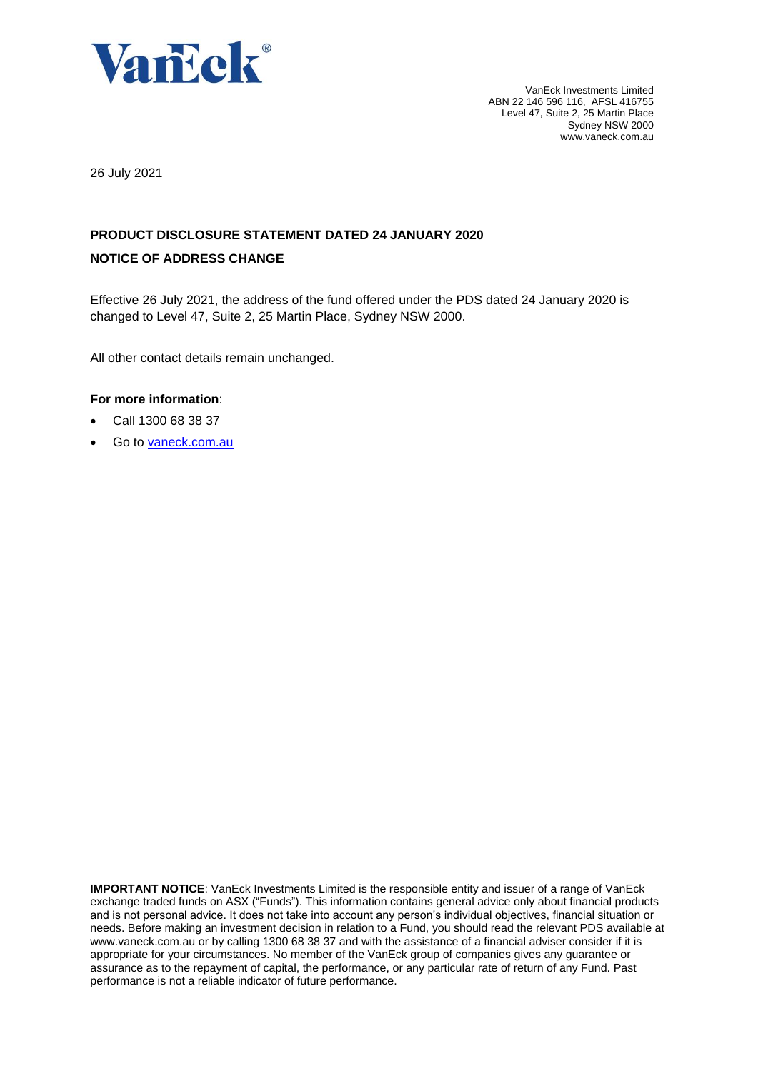

VanEck Investments Limited ABN 22 146 596 116, AFSL 416755 Level 47, Suite 2, 25 Martin Place Sydney NSW 2000 www.vaneck.com.au

26 July 2021

# **PRODUCT DISCLOSURE STATEMENT DATED 24 JANUARY 2020 NOTICE OF ADDRESS CHANGE**

Effective 26 July 2021, the address of the fund offered under the PDS dated 24 January 2020 is changed to Level 47, Suite 2, 25 Martin Place, Sydney NSW 2000.

All other contact details remain unchanged.

# **For more information**:

- Call 1300 68 38 37
- Go to [vaneck.com.au](http://www.marketvectors-australia.com/)

**IMPORTANT NOTICE:** VanEck Investments Limited is the responsible entity and issuer of a range of VanEck exchange traded funds on ASX ("Funds"). This information contains general advice only about financial products and is not personal advice. It does not take into account any person's individual objectives, financial situation or needs. Before making an investment decision in relation to a Fund, you should read the relevant PDS available at [www.vaneck.com.au](http://www.vaneck.com.au/) or by calling 1300 68 38 37 and with the assistance of a financial adviser consider if it is appropriate for your circumstances. No member of the VanEck group of companies gives any guarantee or assurance as to the repayment of capital, the performance, or any particular rate of return of any Fund. Past performance is not a reliable indicator of future performance.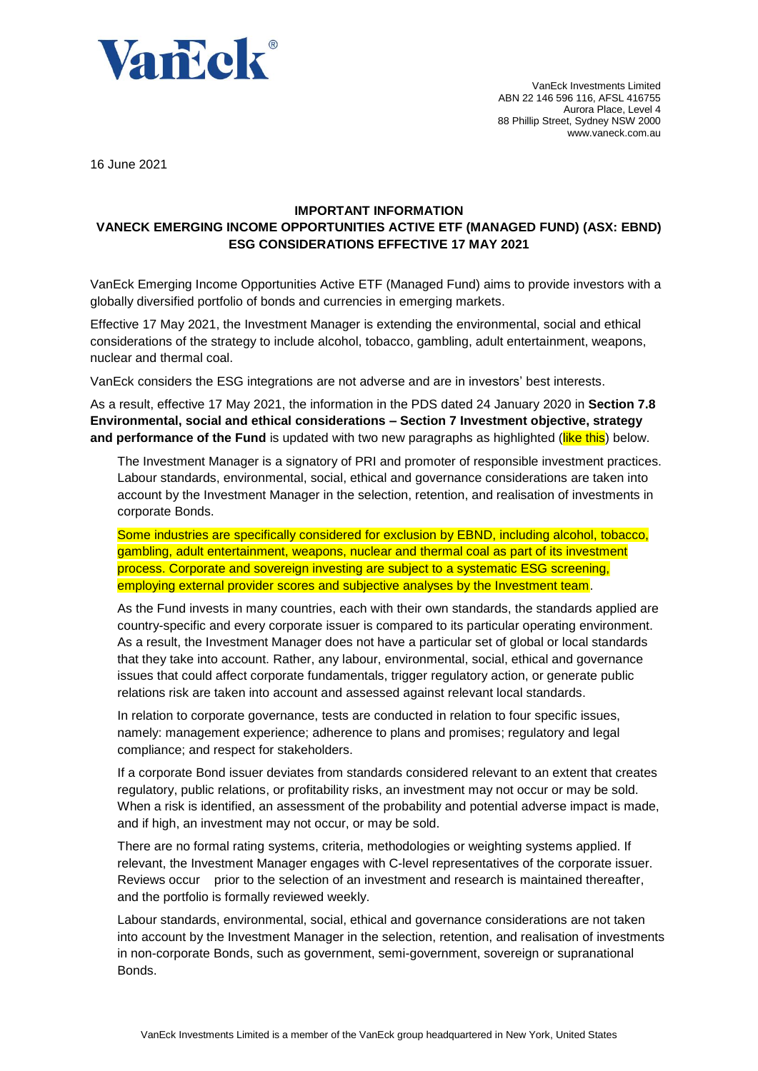

16 June 2021

# **IMPORTANT INFORMATION VANECK EMERGING INCOME OPPORTUNITIES ACTIVE ETF (MANAGED FUND) (ASX: EBND) ESG CONSIDERATIONS EFFECTIVE 17 MAY 2021**

VanEck Emerging Income Opportunities Active ETF (Managed Fund) aims to provide investors with a globally diversified portfolio of bonds and currencies in emerging markets.

Effective 17 May 2021, the Investment Manager is extending the environmental, social and ethical considerations of the strategy to include alcohol, tobacco, gambling, adult entertainment, weapons, nuclear and thermal coal.

VanEck considers the ESG integrations are not adverse and are in investors' best interests.

As a result, effective 17 May 2021, the information in the PDS dated 24 January 2020 in **Section 7.8 Environmental, social and ethical considerations – Section 7 Investment objective, strategy**  and performance of the Fund is updated with two new paragraphs as highlighted (like this) below.

The Investment Manager is a signatory of PRI and promoter of responsible investment practices. Labour standards, environmental, social, ethical and governance considerations are taken into account by the Investment Manager in the selection, retention, and realisation of investments in corporate Bonds.

Some industries are specifically considered for exclusion by EBND, including alcohol, tobacco, gambling, adult entertainment, weapons, nuclear and thermal coal as part of its investment process. Corporate and sovereign investing are subject to a systematic ESG screening, employing external provider scores and subjective analyses by the Investment team.

As the Fund invests in many countries, each with their own standards, the standards applied are country-specific and every corporate issuer is compared to its particular operating environment. As a result, the Investment Manager does not have a particular set of global or local standards that they take into account. Rather, any labour, environmental, social, ethical and governance issues that could affect corporate fundamentals, trigger regulatory action, or generate public relations risk are taken into account and assessed against relevant local standards.

In relation to corporate governance, tests are conducted in relation to four specific issues, namely: management experience; adherence to plans and promises; regulatory and legal compliance; and respect for stakeholders.

If a corporate Bond issuer deviates from standards considered relevant to an extent that creates regulatory, public relations, or profitability risks, an investment may not occur or may be sold. When a risk is identified, an assessment of the probability and potential adverse impact is made, and if high, an investment may not occur, or may be sold.

There are no formal rating systems, criteria, methodologies or weighting systems applied. If relevant, the Investment Manager engages with C-level representatives of the corporate issuer. Reviews occur prior to the selection of an investment and research is maintained thereafter, and the portfolio is formally reviewed weekly.

Labour standards, environmental, social, ethical and governance considerations are not taken into account by the Investment Manager in the selection, retention, and realisation of investments in non-corporate Bonds, such as government, semi-government, sovereign or supranational Bonds.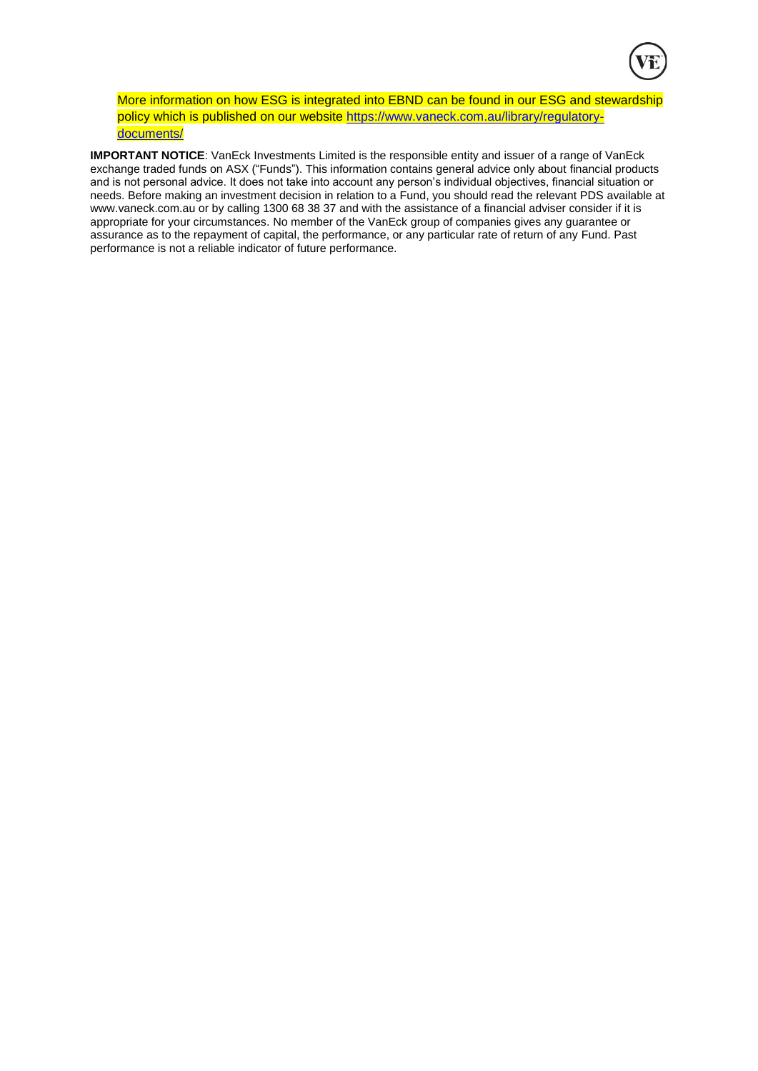

More information on how ESG is integrated into EBND can be found in our ESG and stewardship policy which is published on our website [https://www.vaneck.com.au/library/regulatory](https://www.vaneck.com.au/library/regulatory-documents/)[documents/](https://www.vaneck.com.au/library/regulatory-documents/)

**IMPORTANT NOTICE**: VanEck Investments Limited is the responsible entity and issuer of a range of VanEck exchange traded funds on ASX ("Funds"). This information contains general advice only about financial products and is not personal advice. It does not take into account any person's individual objectives, financial situation or needs. Before making an investment decision in relation to a Fund, you should read the relevant PDS available at [www.vaneck.com.au](http://www.vaneck.com.au/) or by calling 1300 68 38 37 and with the assistance of a financial adviser consider if it is appropriate for your circumstances. No member of the VanEck group of companies gives any guarantee or assurance as to the repayment of capital, the performance, or any particular rate of return of any Fund. Past performance is not a reliable indicator of future performance.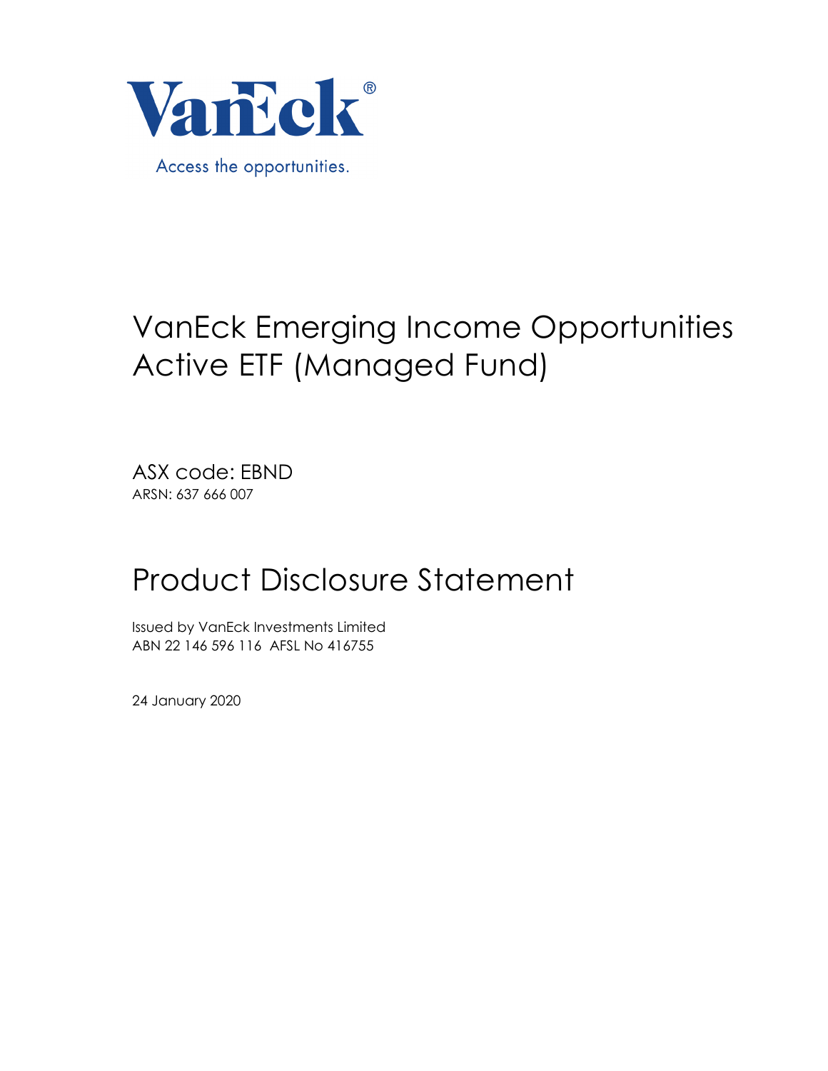

# VanEck Emerging Income Opportunities Active ETF (Managed Fund)

ASX code: EBND ARSN: 637 666 007

# Product Disclosure Statement

Issued by VanEck Investments Limited ABN 22 146 596 116 AFSL No 416755

24 January 2020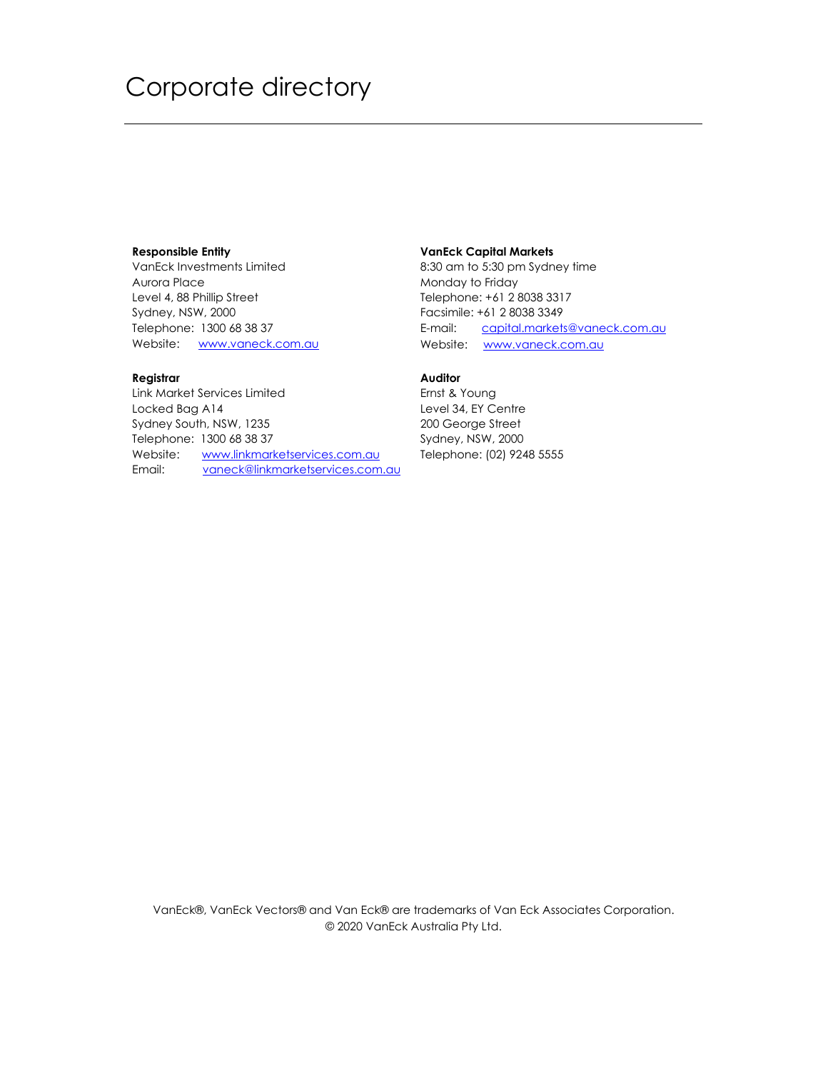# Corporate directory

# **Responsible Entity**

VanEck Investments Limited Aurora Place Level 4, 88 Phillip Street Sydney, NSW, 2000 Telephone: 1300 68 38 37 Website: www.vaneck.com.au

# **Registrar**

Link Market Services Limited Locked Bag A14 Sydney South, NSW, 1235 Telephone: 1300 68 38 37 Website: www.linkmarketservices.com.au Email: vaneck@linkmarketservices.com.au

# **VanEck Capital Markets**

8:30 am to 5:30 pm Sydney time Monday to Friday Telephone: +61 2 8038 3317 Facsimile: +61 2 8038 3349 E-mail: capital.markets@vaneck.com.au Website: www.vaneck.com.au

# **Auditor**

Ernst & Young Level 34, EY Centre 200 George Street Sydney, NSW, 2000 Telephone: (02) 9248 5555

VanEck®, VanEck Vectors® and Van Eck® are trademarks of Van Eck Associates Corporation. © 2020 VanEck Australia Pty Ltd.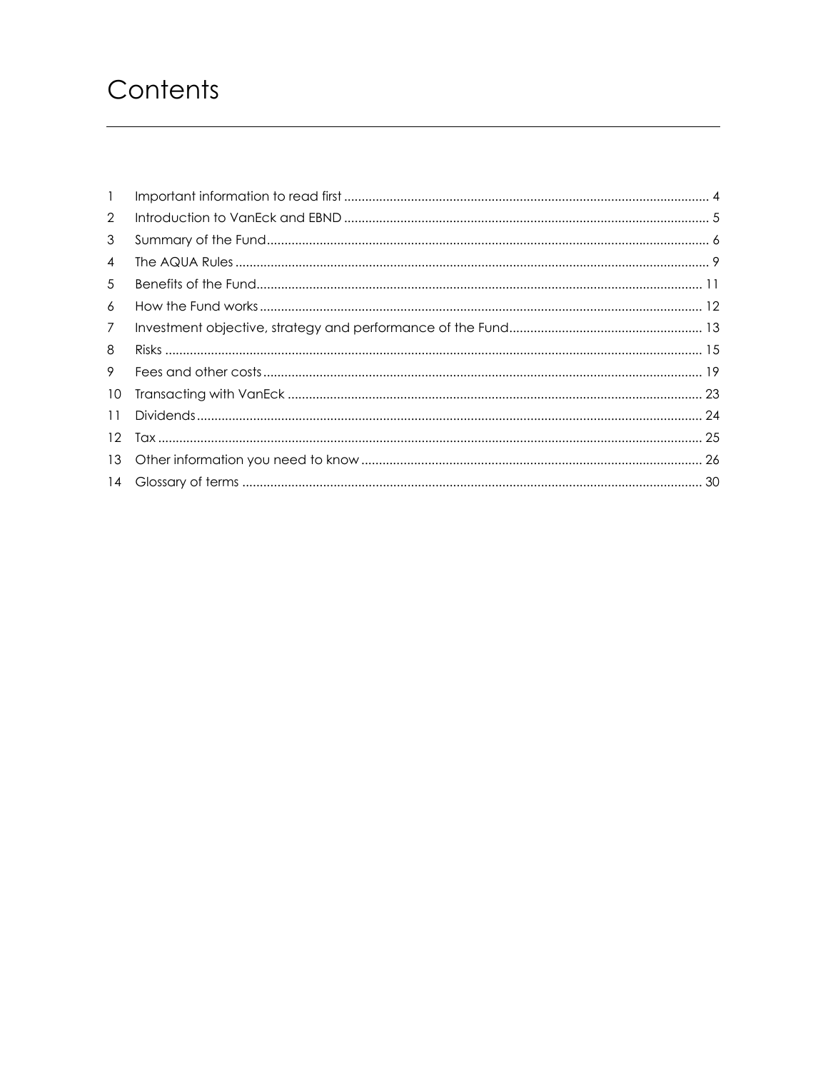# Contents

| $\mathbf{1}$    |  |
|-----------------|--|
| 2               |  |
| 3               |  |
| 4               |  |
| 5               |  |
| 6               |  |
| $\overline{7}$  |  |
| 8               |  |
| 9               |  |
| 10              |  |
| 11              |  |
| 12 <sup>2</sup> |  |
| 13              |  |
|                 |  |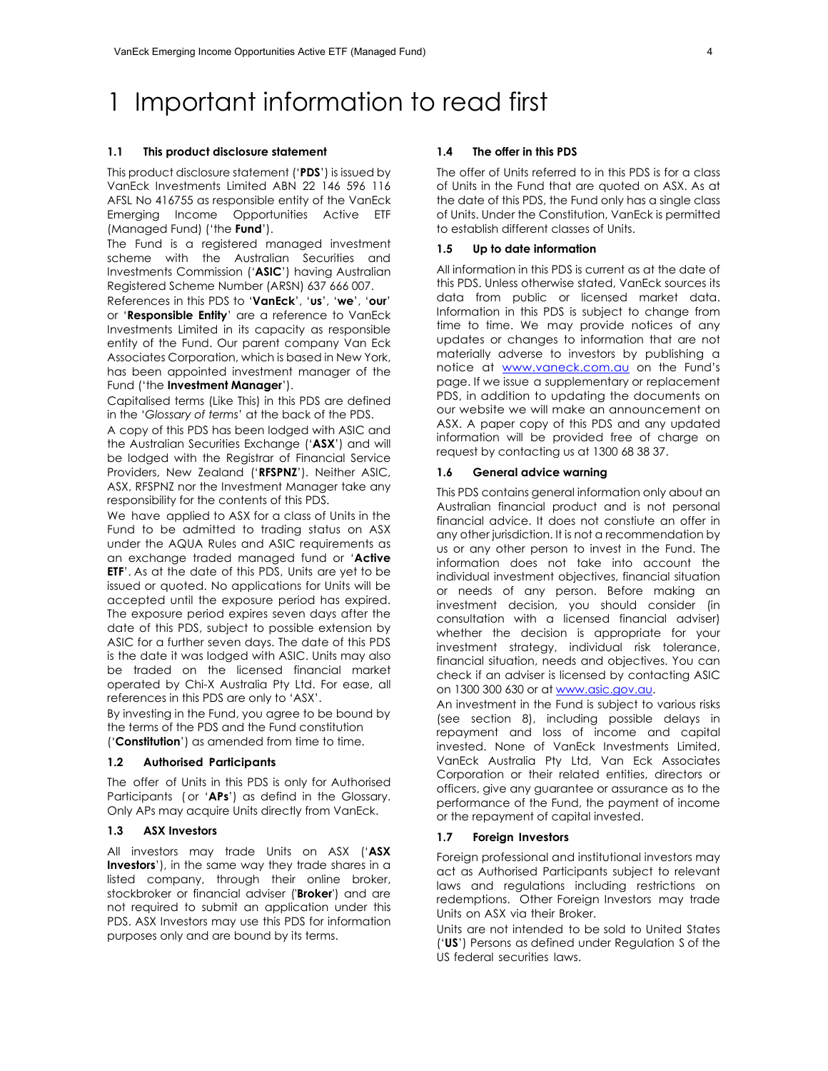# 1 Important information to read first

#### **1.1 This product disclosure statement**

This product disclosure statement ('**PDS**') is issued by VanEck Investments Limited ABN 22 146 596 116 AFSL No 416755 as responsible entity of the VanEck Emerging Income Opportunities Active ETF (Managed Fund) ('the **Fund**').

The Fund is a registered managed investment scheme with the Australian Securities and Investments Commission ('**ASIC**') having Australian Registered Scheme Number (ARSN) 637 666 007.

References in this PDS to '**VanEck**', '**us**', '**we**', '**our**' or '**Responsible Entity**' are a reference to VanEck Investments Limited in its capacity as responsible entity of the Fund. Our parent company Van Eck Associates Corporation, which is based in New York, has been appointed investment manager of the Fund ('the **Investment Manager**').

Capitalised terms (Like This) in this PDS are defined in the '*Glossary of terms*' at the back of the PDS.

A copy of this PDS has been lodged with ASIC and the Australian Securities Exchange ('**ASX**') and will be lodged with the Registrar of Financial Service Providers, New Zealand ('**RFSPNZ**'). Neither ASIC, ASX, RFSPNZ nor the Investment Manager take any responsibility for the contents of this PDS.

We have applied to ASX for a class of Units in the Fund to be admitted to trading status on ASX under the AQUA Rules and ASIC requirements as an exchange traded managed fund or '**Active ETF**'. As at the date of this PDS, Units are yet to be issued or quoted. No applications for Units will be accepted until the exposure period has expired. The exposure period expires seven days after the date of this PDS, subject to possible extension by ASIC for a further seven days. The date of this PDS is the date it was lodged with ASIC. Units may also be traded on the licensed financial market operated by Chi-X Australia Pty Ltd. For ease, all references in this PDS are only to 'ASX'.

By investing in the Fund, you agree to be bound by the terms of the PDS and the Fund constitution ('**Constitution**') as amended from time to time.

#### **1.2 Authorised Participants**

The offer of Units in this PDS is only for Authorised Participants ( or '**APs**') as defind in the Glossary. Only APs may acquire Units directly from VanEck.

### **1.3 ASX Investors**

All investors may trade Units on ASX ('**ASX Investors**'), in the same way they trade shares in a listed company, through their online broker, stockbroker or financial adviser ('**Broker**') and are not required to submit an application under this PDS. ASX Investors may use this PDS for information purposes only and are bound by its terms.

#### **1.4 The offer in this PDS**

The offer of Units referred to in this PDS is for a class of Units in the Fund that are quoted on ASX. As at the date of this PDS, the Fund only has a single class of Units. Under the Constitution, VanEck is permitted to establish different classes of Units.

#### **1.5 Up to date information**

All information in this PDS is current as at the date of this PDS. Unless otherwise stated, VanEck sources its data from public or licensed market data. Information in this PDS is subject to change from time to time. We may provide notices of any updates or changes to information that are not materially adverse to investors by publishing a notice at www.vaneck.com.au on the Fund's page. If we issue a supplementary or replacement PDS, in addition to updating the documents on our website we will make an announcement on ASX. A paper copy of this PDS and any updated information will be provided free of charge on request by contacting us at 1300 68 38 37.

#### **1.6 General advice warning**

This PDS contains general information only about an Australian financial product and is not personal financial advice. It does not constiute an offer in any other jurisdiction. It is not a recommendation by us or any other person to invest in the Fund. The information does not take into account the individual investment objectives, financial situation or needs of any person. Before making an investment decision, you should consider (in consultation with a licensed financial adviser) whether the decision is appropriate for your investment strategy, individual risk tolerance, financial situation, needs and objectives. You can check if an adviser is licensed by contacting ASIC on 1300 300 630 or at www.asic.gov.au.

An investment in the Fund is subject to various risks (see section 8), including possible delays in repayment and loss of income and capital invested. None of VanEck Investments Limited, VanEck Australia Pty Ltd, Van Eck Associates Corporation or their related entities, directors or officers, give any guarantee or assurance as to the performance of the Fund, the payment of income or the repayment of capital invested.

#### **1.7 Foreign Investors**

Foreign professional and institutional investors may act as Authorised Participants subject to relevant laws and regulations including restrictions on redemptions. Other Foreign Investors may trade Units on ASX via their Broker.

Units are not intended to be sold to United States ('**US**') Persons as defined under Regulation S of the US federal securities laws.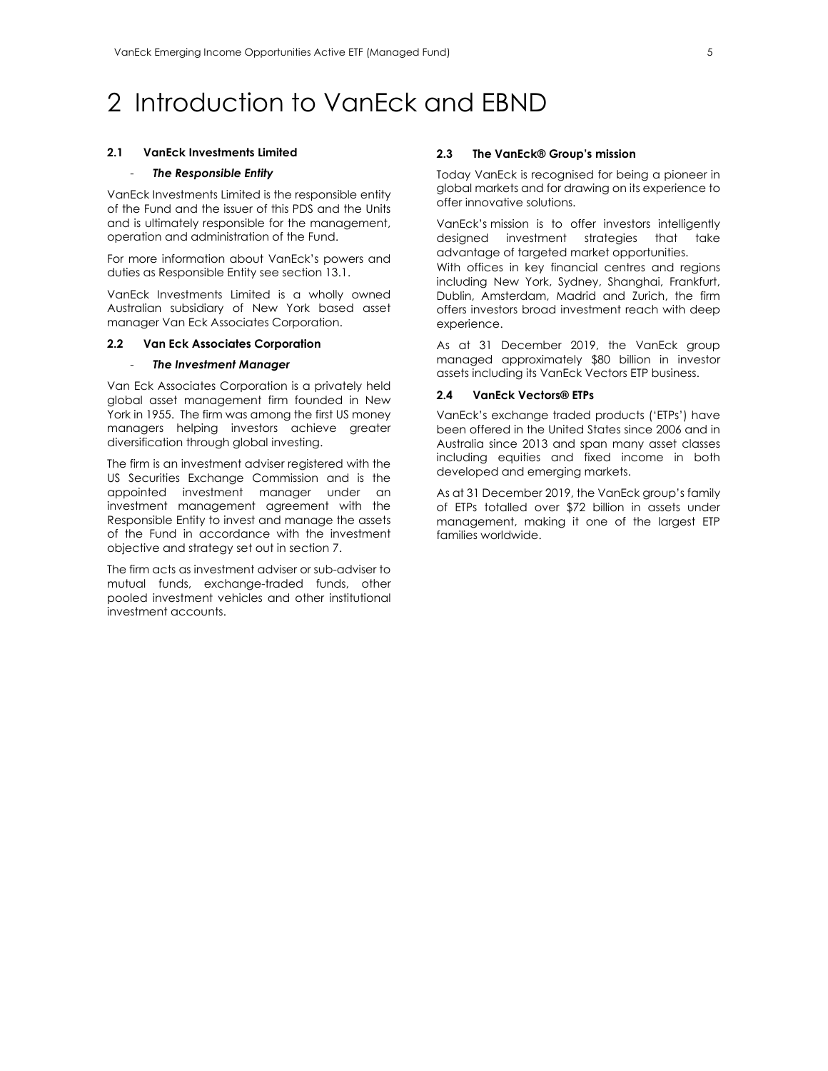# 2 Introduction to VanEck and EBND

#### **2.1 VanEck Investments Limited**

#### - *The Responsible Entity*

VanEck Investments Limited is the responsible entity of the Fund and the issuer of this PDS and the Units and is ultimately responsible for the management, operation and administration of the Fund.

For more information about VanEck's powers and duties as Responsible Entity see section 13.1.

VanEck Investments Limited is a wholly owned Australian subsidiary of New York based asset manager Van Eck Associates Corporation.

# **2.2 Van Eck Associates Corporation**

#### - *The Investment Manager*

Van Eck Associates Corporation is a privately held global asset management firm founded in New York in 1955. The firm was among the first US money managers helping investors achieve greater diversification through global investing.

The firm is an investment adviser registered with the US Securities Exchange Commission and is the appointed investment manager under an investment management agreement with the Responsible Entity to invest and manage the assets of the Fund in accordance with the investment objective and strategy set out in section 7.

The firm acts as investment adviser or sub-adviser to mutual funds, exchange-traded funds, other pooled investment vehicles and other institutional investment accounts.

#### **2.3 The VanEck® Group's mission**

Today VanEck is recognised for being a pioneer in global markets and for drawing on its experience to offer innovative solutions.

VanEck's mission is to offer investors intelligently designed investment strategies that take advantage of targeted market opportunities.

With offices in key financial centres and regions including New York, Sydney, Shanghai, Frankfurt, Dublin, Amsterdam, Madrid and Zurich, the firm offers investors broad investment reach with deep experience.

As at 31 December 2019, the VanEck group managed approximately \$80 billion in investor assets including its VanEck Vectors ETP business.

#### **2.4 VanEck Vectors® ETPs**

VanEck's exchange traded products ('ETPs') have been offered in the United States since 2006 and in Australia since 2013 and span many asset classes including equities and fixed income in both developed and emerging markets.

As at 31 December 2019, the VanEck group's family of ETPs totalled over \$72 billion in assets under management, making it one of the largest ETP families worldwide.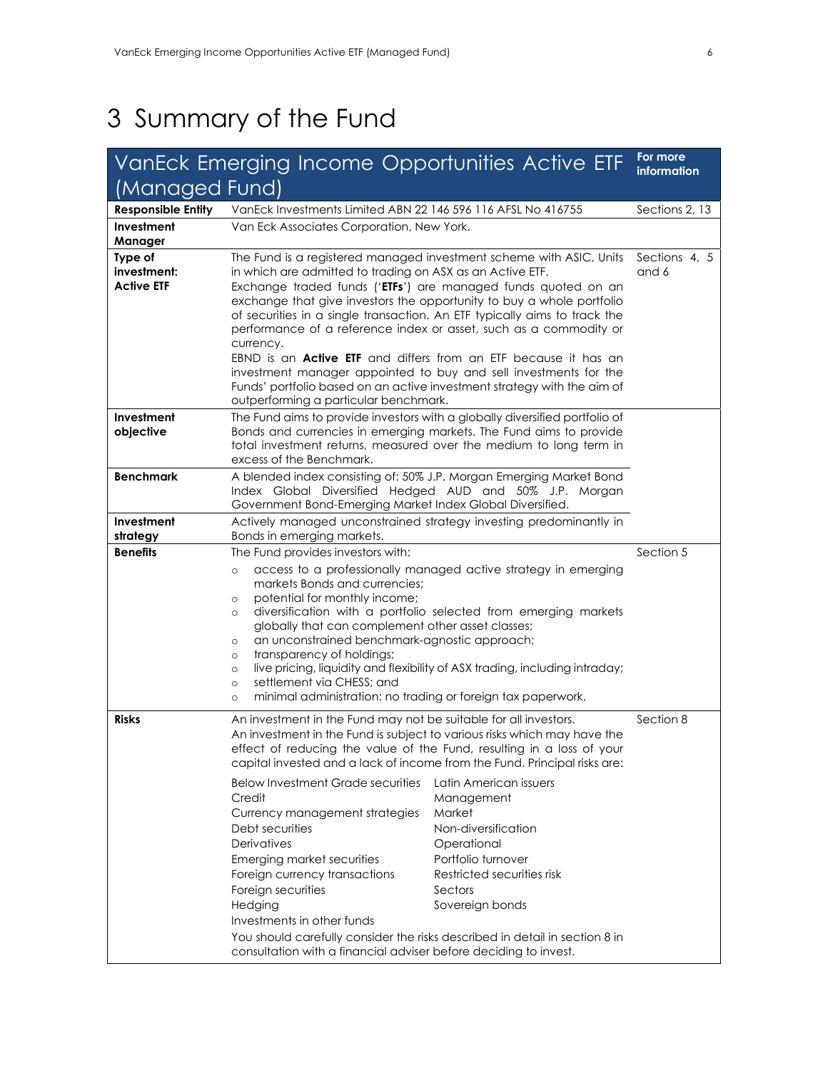# 3 Summary of the Fund

|                                             | VanEck Emerging Income Opportunities Active ETF                                                                                                                                                                                                                                                                                                                                                                                                                                                                                                                                                                                                                                                                      |                                                                                                                                                                                                                  | For more<br>information |
|---------------------------------------------|----------------------------------------------------------------------------------------------------------------------------------------------------------------------------------------------------------------------------------------------------------------------------------------------------------------------------------------------------------------------------------------------------------------------------------------------------------------------------------------------------------------------------------------------------------------------------------------------------------------------------------------------------------------------------------------------------------------------|------------------------------------------------------------------------------------------------------------------------------------------------------------------------------------------------------------------|-------------------------|
| (Managed Fund)                              |                                                                                                                                                                                                                                                                                                                                                                                                                                                                                                                                                                                                                                                                                                                      |                                                                                                                                                                                                                  |                         |
| <b>Responsible Entity</b>                   | VanEck Investments Limited ABN 22 146 596 116 AFSL No 416755                                                                                                                                                                                                                                                                                                                                                                                                                                                                                                                                                                                                                                                         | Sections 2, 13                                                                                                                                                                                                   |                         |
| Investment<br>Manager                       | Van Eck Associates Corporation, New York.                                                                                                                                                                                                                                                                                                                                                                                                                                                                                                                                                                                                                                                                            |                                                                                                                                                                                                                  |                         |
| Type of<br>investment:<br><b>Active ETF</b> | The Fund is a registered managed investment scheme with ASIC, Units<br>in which are admitted to trading on ASX as an Active ETF.<br>Exchange traded funds ('ETFs') are managed funds quoted on an<br>exchange that give investors the opportunity to buy a whole portfolio<br>of securities in a single transaction. An ETF typically aims to track the<br>performance of a reference index or asset, such as a commodity or<br>currency.<br>EBND is an <b>Active ETF</b> and differs from an ETF because it has an<br>investment manager appointed to buy and sell investments for the<br>Funds' portfolio based on an active investment strategy with the aim of<br>outperforming a particular benchmark.          | Sections 4, 5<br>and 6                                                                                                                                                                                           |                         |
| Investment<br>objective                     | The Fund aims to provide investors with a globally diversified portfolio of<br>Bonds and currencies in emerging markets. The Fund aims to provide<br>total investment returns, measured over the medium to long term in<br>excess of the Benchmark.                                                                                                                                                                                                                                                                                                                                                                                                                                                                  |                                                                                                                                                                                                                  |                         |
| <b>Benchmark</b>                            | A blended index consisting of: 50% J.P. Morgan Emerging Market Bond<br>Index Global Diversified Hedged AUD and 50% J.P. Morgan<br>Government Bond-Emerging Market Index Global Diversified.                                                                                                                                                                                                                                                                                                                                                                                                                                                                                                                          |                                                                                                                                                                                                                  |                         |
| Investment<br>strategy                      | Actively managed unconstrained strategy investing predominantly in<br>Bonds in emerging markets.                                                                                                                                                                                                                                                                                                                                                                                                                                                                                                                                                                                                                     |                                                                                                                                                                                                                  |                         |
| <b>Benefits</b>                             | The Fund provides investors with:<br>$\circ$<br>markets Bonds and currencies:<br>potential for monthly income;<br>$\circ$<br>O<br>globally that can complement other asset classes;<br>an unconstrained benchmark-agnostic approach;<br>$\circ$<br>transparency of holdings;<br>$\circ$<br>$\circ$<br>settlement via CHESS: and<br>$\circ$<br>minimal administration: no trading or foreign tax paperwork.<br>$\circ$                                                                                                                                                                                                                                                                                                | access to a professionally managed active strategy in emerging<br>diversification with a portfolio selected from emerging markets<br>live pricing, liquidity and flexibility of ASX trading, including intraday; | Section 5               |
| Risks                                       | An investment in the Fund may not be suitable for all investors.<br>An investment in the Fund is subject to various risks which may have the<br>effect of reducing the value of the Fund, resulting in a loss of your<br>capital invested and a lack of income from the Fund. Principal risks are:<br><b>Below Investment Grade securities</b><br>Credit<br>Currency management strategies<br>Debt securities<br><b>Derivatives</b><br>Emerging market securities<br>Foreign currency transactions<br>Foreign securities<br>Hedging<br>Investments in other funds<br>You should carefully consider the risks described in detail in section 8 in<br>consultation with a financial adviser before deciding to invest. | Latin American issuers<br>Management<br>Market<br>Non-diversification<br>Operational<br>Portfolio turnover<br>Restricted securities risk<br>Sectors<br>Sovereign bonds                                           | Section 8               |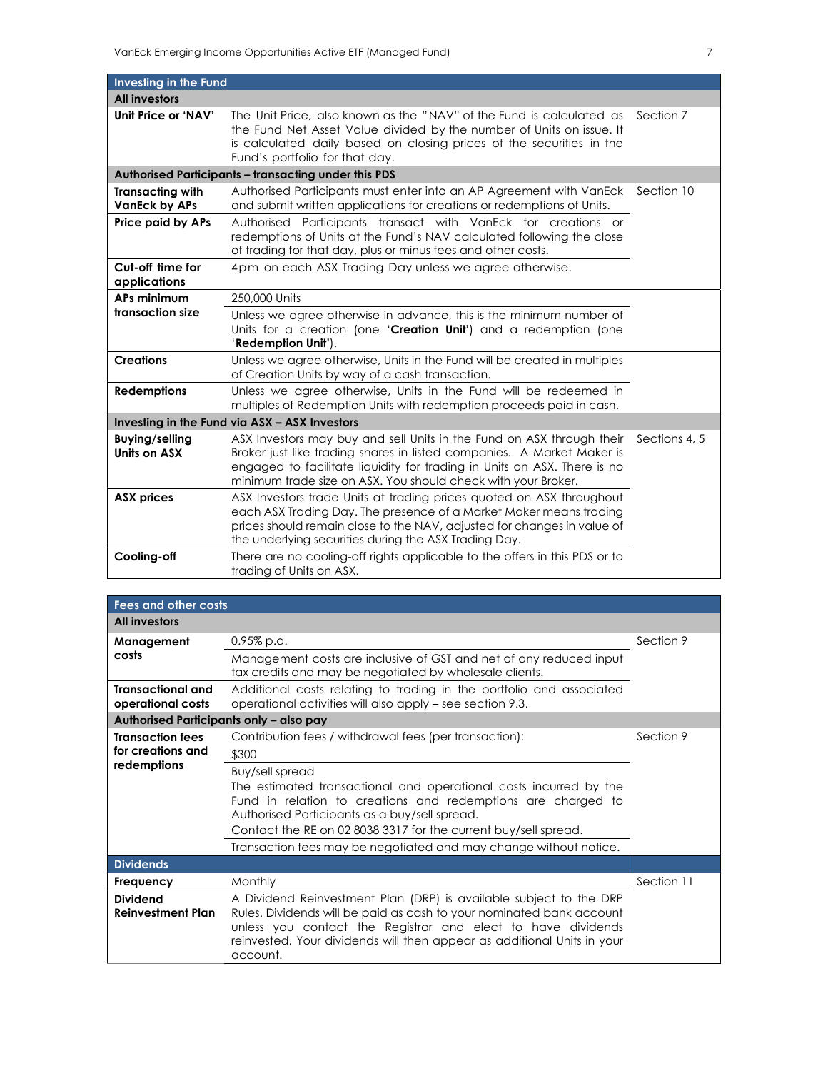| Investing in the Fund                                                                                                                                                                            |                                                                                                                                                                                                                                                                                              |               |
|--------------------------------------------------------------------------------------------------------------------------------------------------------------------------------------------------|----------------------------------------------------------------------------------------------------------------------------------------------------------------------------------------------------------------------------------------------------------------------------------------------|---------------|
| <b>All investors</b>                                                                                                                                                                             |                                                                                                                                                                                                                                                                                              |               |
| Unit Price or 'NAV'                                                                                                                                                                              | The Unit Price, also known as the "NAV" of the Fund is calculated as<br>the Fund Net Asset Value divided by the number of Units on issue. It<br>is calculated daily based on closing prices of the securities in the<br>Fund's portfolio for that day.                                       | Section 7     |
|                                                                                                                                                                                                  | Authorised Participants - transacting under this PDS                                                                                                                                                                                                                                         |               |
| <b>Transacting with</b><br>Authorised Participants must enter into an AP Agreement with VanEck<br><b>VanEck by APs</b><br>and submit written applications for creations or redemptions of Units. |                                                                                                                                                                                                                                                                                              | Section 10    |
| Price paid by APs                                                                                                                                                                                | Authorised Participants transact with VanEck for creations or<br>redemptions of Units at the Fund's NAV calculated following the close<br>of trading for that day, plus or minus fees and other costs.                                                                                       |               |
| Cut-off time for<br>applications                                                                                                                                                                 | 4pm on each ASX Trading Day unless we agree otherwise.                                                                                                                                                                                                                                       |               |
| APs minimum                                                                                                                                                                                      | 250,000 Units                                                                                                                                                                                                                                                                                |               |
| transaction size                                                                                                                                                                                 | Unless we agree otherwise in advance, this is the minimum number of<br>Units for a creation (one 'Creation Unit') and a redemption (one<br>'Redemption Unit').                                                                                                                               |               |
| <b>Creations</b>                                                                                                                                                                                 | Unless we agree otherwise, Units in the Fund will be created in multiples<br>of Creation Units by way of a cash transaction.                                                                                                                                                                 |               |
| <b>Redemptions</b>                                                                                                                                                                               | Unless we agree otherwise, Units in the Fund will be redeemed in<br>multiples of Redemption Units with redemption proceeds paid in cash.                                                                                                                                                     |               |
|                                                                                                                                                                                                  | Investing in the Fund via ASX - ASX Investors                                                                                                                                                                                                                                                |               |
| <b>Buying/selling</b><br>Units on ASX                                                                                                                                                            | ASX Investors may buy and sell Units in the Fund on ASX through their<br>Broker just like trading shares in listed companies. A Market Maker is<br>engaged to facilitate liquidity for trading in Units on ASX. There is no<br>minimum trade size on ASX. You should check with your Broker. | Sections 4, 5 |
| <b>ASX prices</b>                                                                                                                                                                                | ASX Investors trade Units at trading prices quoted on ASX throughout<br>each ASX Trading Day. The presence of a Market Maker means trading<br>prices should remain close to the NAV, adjusted for changes in value of<br>the underlying securities during the ASX Trading Day.               |               |
| Cooling-off                                                                                                                                                                                      | There are no cooling-off rights applicable to the offers in this PDS or to<br>trading of Units on ASX.                                                                                                                                                                                       |               |

| <b>Fees and other costs</b>                   |                                                                                                                                                                                                                                                                                                   |            |  |
|-----------------------------------------------|---------------------------------------------------------------------------------------------------------------------------------------------------------------------------------------------------------------------------------------------------------------------------------------------------|------------|--|
| <b>All investors</b>                          |                                                                                                                                                                                                                                                                                                   |            |  |
| Management                                    | $0.95\%$ p.a.                                                                                                                                                                                                                                                                                     | Section 9  |  |
| costs                                         | Management costs are inclusive of GST and net of any reduced input<br>tax credits and may be negotiated by wholesale clients.                                                                                                                                                                     |            |  |
| <b>Transactional and</b><br>operational costs | Additional costs relating to trading in the portfolio and associated<br>operational activities will also apply - see section 9.3.                                                                                                                                                                 |            |  |
| Authorised Participants only - also pay       |                                                                                                                                                                                                                                                                                                   |            |  |
| <b>Transaction fees</b>                       | Contribution fees / withdrawal fees (per transaction):                                                                                                                                                                                                                                            | Section 9  |  |
| for creations and                             | \$300                                                                                                                                                                                                                                                                                             |            |  |
| redemptions                                   | Buy/sell spread                                                                                                                                                                                                                                                                                   |            |  |
|                                               | The estimated transactional and operational costs incurred by the<br>Fund in relation to creations and redemptions are charged to<br>Authorised Participants as a buy/sell spread.                                                                                                                |            |  |
|                                               | Contact the RE on 02 8038 3317 for the current buy/sell spread.                                                                                                                                                                                                                                   |            |  |
|                                               | Transaction fees may be negotiated and may change without notice.                                                                                                                                                                                                                                 |            |  |
| <b>Dividends</b>                              |                                                                                                                                                                                                                                                                                                   |            |  |
| Frequency                                     | Monthly                                                                                                                                                                                                                                                                                           | Section 11 |  |
| <b>Dividend</b><br><b>Reinvestment Plan</b>   | A Dividend Reinvestment Plan (DRP) is available subject to the DRP<br>Rules. Dividends will be paid as cash to your nominated bank account<br>unless you contact the Registrar and elect to have dividends<br>reinvested. Your dividends will then appear as additional Units in your<br>account. |            |  |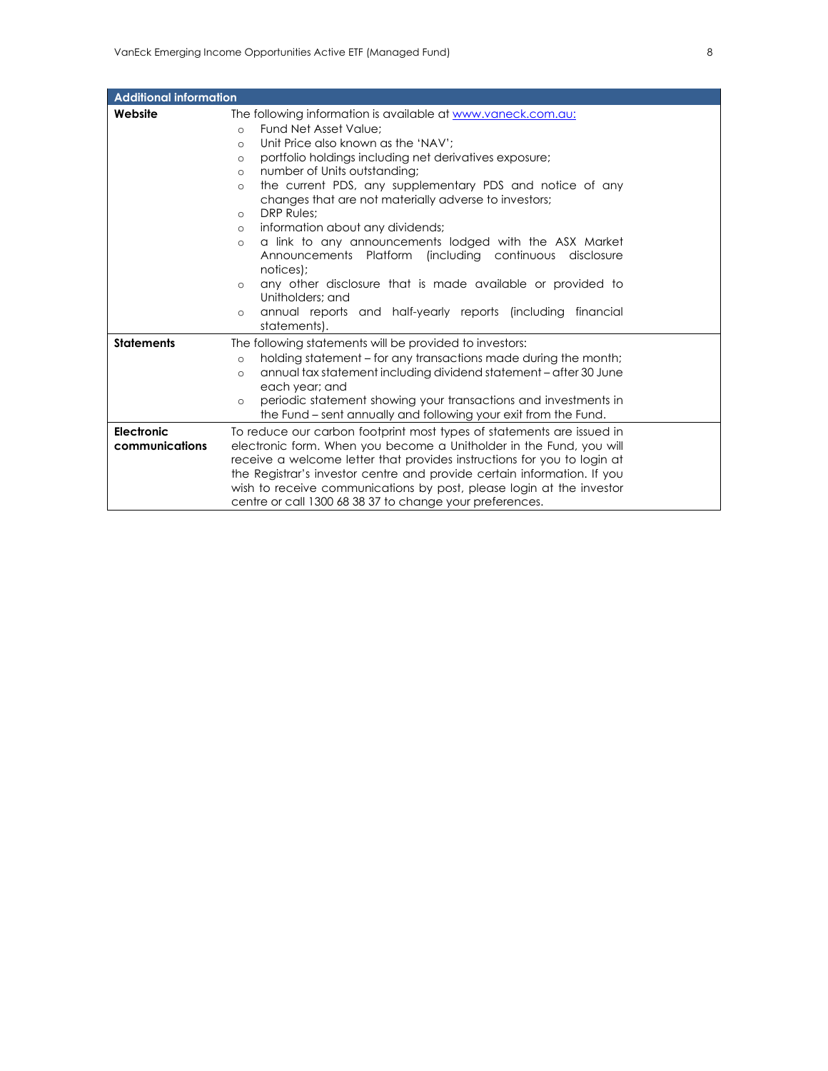| <b>Additional information</b> |                                                                                                                                                                                                                                                                                                                                                                            |
|-------------------------------|----------------------------------------------------------------------------------------------------------------------------------------------------------------------------------------------------------------------------------------------------------------------------------------------------------------------------------------------------------------------------|
| Website                       | The following information is available at www.vaneck.com.au:                                                                                                                                                                                                                                                                                                               |
|                               | Fund Net Asset Value:<br>$\circ$                                                                                                                                                                                                                                                                                                                                           |
|                               | Unit Price also known as the 'NAV':<br>$\circ$                                                                                                                                                                                                                                                                                                                             |
|                               | portfolio holdings including net derivatives exposure;<br>$\circ$                                                                                                                                                                                                                                                                                                          |
|                               | number of Units outstanding;<br>$\circ$                                                                                                                                                                                                                                                                                                                                    |
|                               | the current PDS, any supplementary PDS and notice of any<br>$\Omega$<br>changes that are not materially adverse to investors;                                                                                                                                                                                                                                              |
|                               | <b>DRP Rules:</b><br>$\circ$                                                                                                                                                                                                                                                                                                                                               |
|                               | information about any dividends;<br>$\circ$                                                                                                                                                                                                                                                                                                                                |
|                               | a link to any announcements lodged with the ASX Market<br>$\circ$<br>Announcements Platform (including continuous disclosure<br>notices);                                                                                                                                                                                                                                  |
|                               | any other disclosure that is made available or provided to<br>$\circ$<br>Unitholders: and                                                                                                                                                                                                                                                                                  |
|                               | annual reports and half-yearly reports (including financial<br>$\circ$<br>statements).                                                                                                                                                                                                                                                                                     |
| <b>Statements</b>             | The following statements will be provided to investors:                                                                                                                                                                                                                                                                                                                    |
|                               | holding statement – for any transactions made during the month;<br>$\circ$                                                                                                                                                                                                                                                                                                 |
|                               | annual tax statement including dividend statement - after 30 June<br>$\circ$<br>each year; and                                                                                                                                                                                                                                                                             |
|                               | periodic statement showing your transactions and investments in<br>$\circ$<br>the Fund – sent annually and following your exit from the Fund.                                                                                                                                                                                                                              |
| Electronic<br>communications  | To reduce our carbon footprint most types of statements are issued in<br>electronic form. When you become a Unitholder in the Fund, you will<br>receive a welcome letter that provides instructions for you to login at<br>the Registrar's investor centre and provide certain information. If you<br>wish to receive communications by post, please login at the investor |
|                               | centre or call 1300 68 38 37 to change your preferences.                                                                                                                                                                                                                                                                                                                   |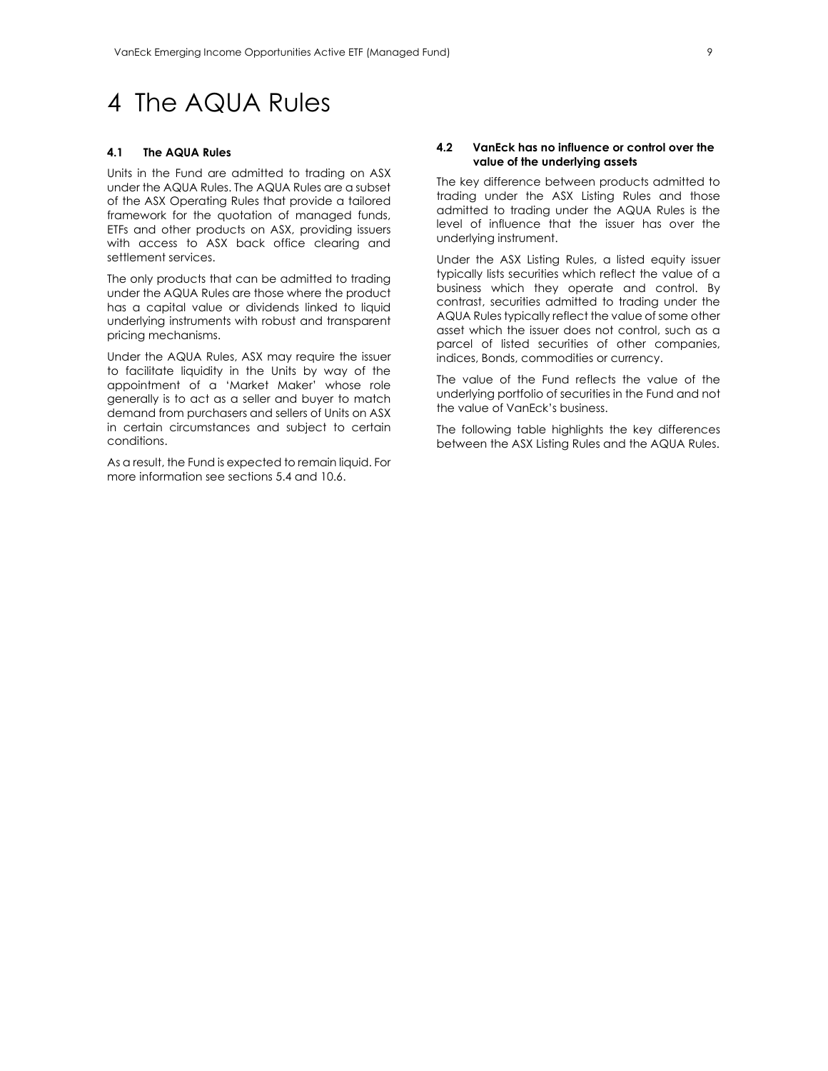# 4 The AQUA Rules

#### **4.1 The AQUA Rules**

Units in the Fund are admitted to trading on ASX under the AQUA Rules. The AQUA Rules are a subset of the ASX Operating Rules that provide a tailored framework for the quotation of managed funds, ETFs and other products on ASX, providing issuers with access to ASX back office clearing and settlement services.

The only products that can be admitted to trading under the AQUA Rules are those where the product has a capital value or dividends linked to liquid underlying instruments with robust and transparent pricing mechanisms.

Under the AQUA Rules, ASX may require the issuer to facilitate liquidity in the Units by way of the appointment of a 'Market Maker' whose role generally is to act as a seller and buyer to match demand from purchasers and sellers of Units on ASX in certain circumstances and subject to certain conditions.

As a result, the Fund is expected to remain liquid. For more information see sections 5.4 and 10.6.

#### **4.2 VanEck has no influence or control over the value of the underlying assets**

The key difference between products admitted to trading under the ASX Listing Rules and those admitted to trading under the AQUA Rules is the level of influence that the issuer has over the underlying instrument.

Under the ASX Listing Rules, a listed equity issuer typically lists securities which reflect the value of a business which they operate and control. By contrast, securities admitted to trading under the AQUA Rules typically reflect the value of some other asset which the issuer does not control, such as a parcel of listed securities of other companies, indices, Bonds, commodities or currency.

The value of the Fund reflects the value of the underlying portfolio of securities in the Fund and not the value of VanEck's business.

The following table highlights the key differences between the ASX Listing Rules and the AQUA Rules.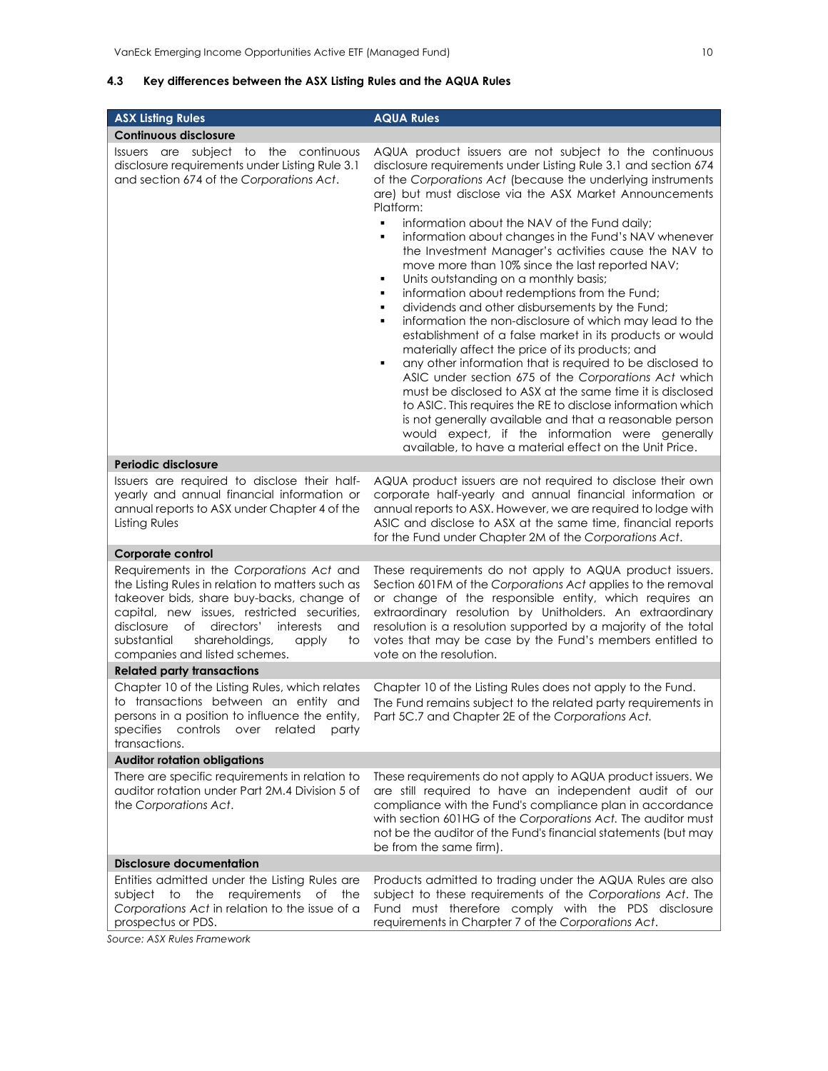# **4.3 Key differences between the ASX Listing Rules and the AQUA Rules**

| <b>ASX Listing Rules</b>                                                                                                                                                                                                                                                                                                        | <b>AQUA Rules</b>                                                                                                                                                                                                                                                                                                                                                                                                                                                                                                                                                                                                                                                                                                                                                                                                                                                                                                                                                                                                                                                                                                                                                                                                                                                     |
|---------------------------------------------------------------------------------------------------------------------------------------------------------------------------------------------------------------------------------------------------------------------------------------------------------------------------------|-----------------------------------------------------------------------------------------------------------------------------------------------------------------------------------------------------------------------------------------------------------------------------------------------------------------------------------------------------------------------------------------------------------------------------------------------------------------------------------------------------------------------------------------------------------------------------------------------------------------------------------------------------------------------------------------------------------------------------------------------------------------------------------------------------------------------------------------------------------------------------------------------------------------------------------------------------------------------------------------------------------------------------------------------------------------------------------------------------------------------------------------------------------------------------------------------------------------------------------------------------------------------|
| <b>Continuous disclosure</b>                                                                                                                                                                                                                                                                                                    |                                                                                                                                                                                                                                                                                                                                                                                                                                                                                                                                                                                                                                                                                                                                                                                                                                                                                                                                                                                                                                                                                                                                                                                                                                                                       |
| Issuers are subject to the<br>continuous<br>disclosure requirements under Listing Rule 3.1<br>and section 674 of the Corporations Act.                                                                                                                                                                                          | AQUA product issuers are not subject to the continuous<br>disclosure requirements under Listing Rule 3.1 and section 674<br>of the Corporations Act (because the underlying instruments<br>are) but must disclose via the ASX Market Announcements<br>Platform:<br>٠<br>information about the NAV of the Fund daily;<br>information about changes in the Fund's NAV whenever<br>٠<br>the Investment Manager's activities cause the NAV to<br>move more than 10% since the last reported NAV;<br>Units outstanding on a monthly basis;<br>٠<br>information about redemptions from the Fund;<br>٠<br>dividends and other disbursements by the Fund;<br>٠<br>information the non-disclosure of which may lead to the<br>٠<br>establishment of a false market in its products or would<br>materially affect the price of its products; and<br>any other information that is required to be disclosed to<br>٠<br>ASIC under section 675 of the Corporations Act which<br>must be disclosed to ASX at the same time it is disclosed<br>to ASIC. This requires the RE to disclose information which<br>is not generally available and that a reasonable person<br>would expect, if the information were generally<br>available, to have a material effect on the Unit Price. |
| Periodic disclosure                                                                                                                                                                                                                                                                                                             |                                                                                                                                                                                                                                                                                                                                                                                                                                                                                                                                                                                                                                                                                                                                                                                                                                                                                                                                                                                                                                                                                                                                                                                                                                                                       |
| Issuers are required to disclose their half-<br>yearly and annual financial information or<br>annual reports to ASX under Chapter 4 of the<br>Listing Rules                                                                                                                                                                     | AQUA product issuers are not required to disclose their own<br>corporate half-yearly and annual financial information or<br>annual reports to ASX. However, we are required to lodge with<br>ASIC and disclose to ASX at the same time, financial reports<br>for the Fund under Chapter 2M of the Corporations Act.                                                                                                                                                                                                                                                                                                                                                                                                                                                                                                                                                                                                                                                                                                                                                                                                                                                                                                                                                   |
| <b>Corporate control</b>                                                                                                                                                                                                                                                                                                        |                                                                                                                                                                                                                                                                                                                                                                                                                                                                                                                                                                                                                                                                                                                                                                                                                                                                                                                                                                                                                                                                                                                                                                                                                                                                       |
| Requirements in the Corporations Act and<br>the Listing Rules in relation to matters such as<br>takeover bids, share buy-backs, change of<br>capital, new issues, restricted securities,<br>disclosure<br>of<br>directors'<br>interests<br>and<br>substantial<br>shareholdings,<br>apply<br>to<br>companies and listed schemes. | These requirements do not apply to AQUA product issuers.<br>Section 601FM of the Corporations Act applies to the removal<br>or change of the responsible entity, which requires an<br>extraordinary resolution by Unitholders. An extraordinary<br>resolution is a resolution supported by a majority of the total<br>votes that may be case by the Fund's members entitled to<br>vote on the resolution.                                                                                                                                                                                                                                                                                                                                                                                                                                                                                                                                                                                                                                                                                                                                                                                                                                                             |
| <b>Related party transactions</b>                                                                                                                                                                                                                                                                                               |                                                                                                                                                                                                                                                                                                                                                                                                                                                                                                                                                                                                                                                                                                                                                                                                                                                                                                                                                                                                                                                                                                                                                                                                                                                                       |
| Chapter 10 of the Listing Rules, which relates<br>to transactions between an entity and<br>persons in a position to influence the entity,<br>controls over related<br>specifies<br>party<br>transactions.                                                                                                                       | Chapter 10 of the Listing Rules does not apply to the Fund.<br>The Fund remains subject to the related party requirements in<br>Part 5C.7 and Chapter 2E of the Corporations Act.                                                                                                                                                                                                                                                                                                                                                                                                                                                                                                                                                                                                                                                                                                                                                                                                                                                                                                                                                                                                                                                                                     |
| <b>Auditor rotation obligations</b>                                                                                                                                                                                                                                                                                             |                                                                                                                                                                                                                                                                                                                                                                                                                                                                                                                                                                                                                                                                                                                                                                                                                                                                                                                                                                                                                                                                                                                                                                                                                                                                       |
| There are specific requirements in relation to<br>auditor rotation under Part 2M.4 Division 5 of<br>the Corporations Act.                                                                                                                                                                                                       | These requirements do not apply to AQUA product issuers. We<br>are still required to have an independent audit of our<br>compliance with the Fund's compliance plan in accordance<br>with section 601HG of the Corporations Act. The auditor must<br>not be the auditor of the Fund's financial statements (but may<br>be from the same firm).                                                                                                                                                                                                                                                                                                                                                                                                                                                                                                                                                                                                                                                                                                                                                                                                                                                                                                                        |
| <b>Disclosure documentation</b>                                                                                                                                                                                                                                                                                                 |                                                                                                                                                                                                                                                                                                                                                                                                                                                                                                                                                                                                                                                                                                                                                                                                                                                                                                                                                                                                                                                                                                                                                                                                                                                                       |
| Entities admitted under the Listing Rules are<br>subject to<br>the<br>requirements<br>of the<br>Corporations Act in relation to the issue of a<br>prospectus or PDS.                                                                                                                                                            | Products admitted to trading under the AQUA Rules are also<br>subject to these requirements of the Corporations Act. The<br>Fund must therefore comply with the PDS disclosure<br>requirements in Charpter 7 of the Corporations Act.                                                                                                                                                                                                                                                                                                                                                                                                                                                                                                                                                                                                                                                                                                                                                                                                                                                                                                                                                                                                                                 |

*Source: ASX Rules Framework*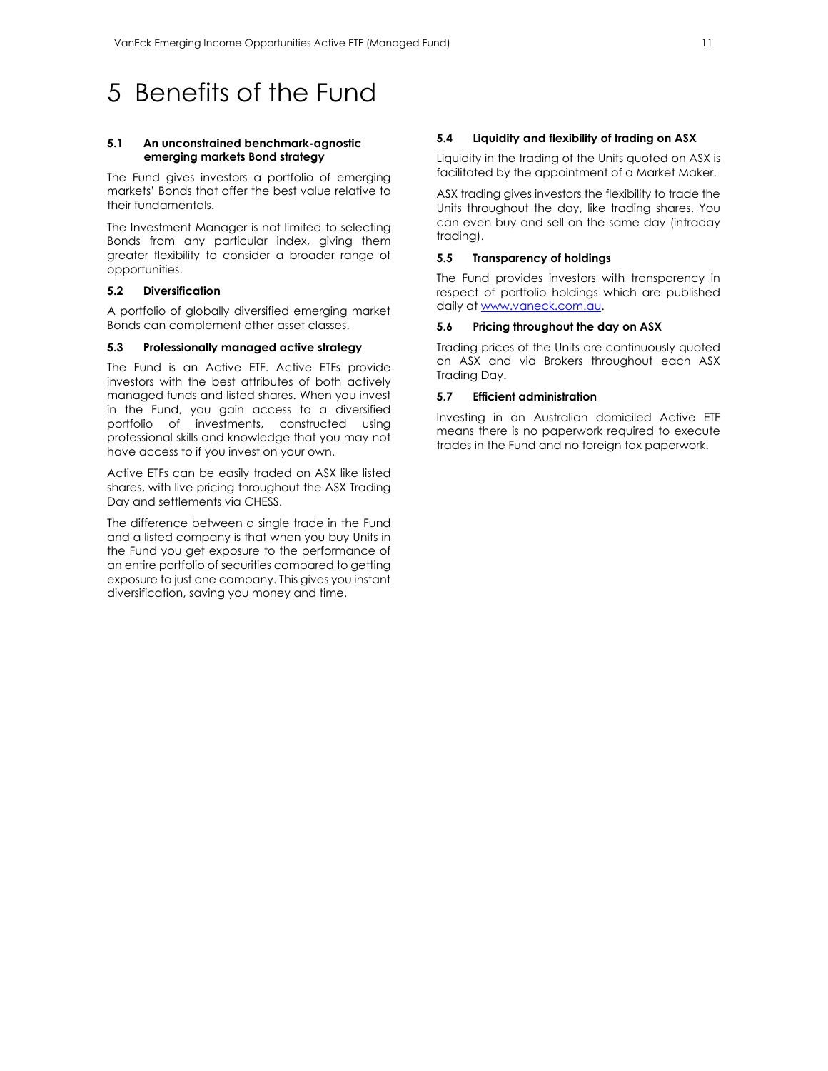# 5 Benefits of the Fund

#### **5.1 An unconstrained benchmark-agnostic emerging markets Bond strategy**

The Fund gives investors a portfolio of emerging markets' Bonds that offer the best value relative to their fundamentals.

The Investment Manager is not limited to selecting Bonds from any particular index, giving them greater flexibility to consider a broader range of opportunities.

# **5.2 Diversification**

A portfolio of globally diversified emerging market Bonds can complement other asset classes.

#### **5.3 Professionally managed active strategy**

The Fund is an Active ETF. Active ETFs provide investors with the best attributes of both actively managed funds and listed shares. When you invest in the Fund, you gain access to a diversified portfolio of investments, constructed using professional skills and knowledge that you may not have access to if you invest on your own.

Active ETFs can be easily traded on ASX like listed shares, with live pricing throughout the ASX Trading Day and settlements via CHESS.

The difference between a single trade in the Fund and a listed company is that when you buy Units in the Fund you get exposure to the performance of an entire portfolio of securities compared to getting exposure to just one company. This gives you instant diversification, saving you money and time.

#### **5.4 Liquidity and flexibility of trading on ASX**

Liquidity in the trading of the Units quoted on ASX is facilitated by the appointment of a Market Maker.

ASX trading gives investors the flexibility to trade the Units throughout the day, like trading shares. You can even buy and sell on the same day (intraday trading).

#### **5.5 Transparency of holdings**

The Fund provides investors with transparency in respect of portfolio holdings which are published daily at www.vaneck.com.au.

## **5.6 Pricing throughout the day on ASX**

Trading prices of the Units are continuously quoted on ASX and via Brokers throughout each ASX Trading Day.

#### **5.7 Efficient administration**

Investing in an Australian domiciled Active ETF means there is no paperwork required to execute trades in the Fund and no foreign tax paperwork.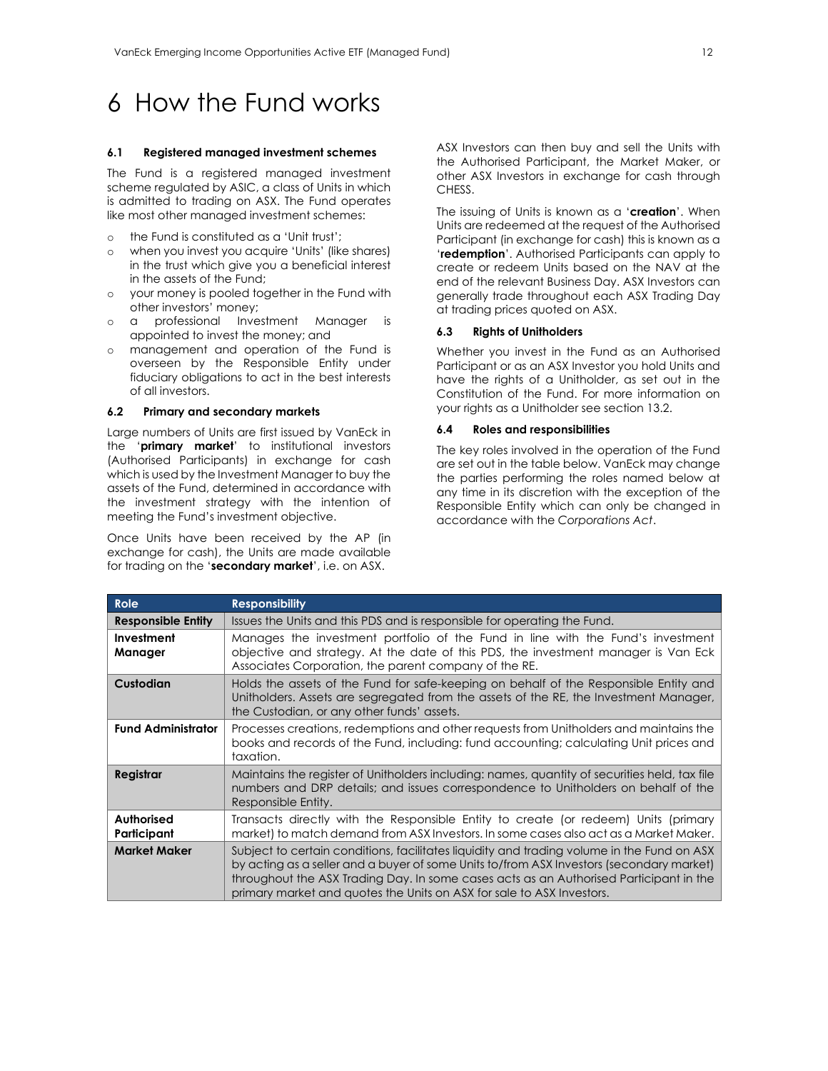# 6 How the Fund works

#### **6.1 Registered managed investment schemes**

The Fund is a registered managed investment scheme regulated by ASIC, a class of Units in which is admitted to trading on ASX. The Fund operates like most other managed investment schemes:

- o the Fund is constituted as a 'Unit trust';
- o when you invest you acquire 'Units' (like shares) in the trust which give you a beneficial interest in the assets of the Fund;
- o your money is pooled together in the Fund with other investors' money;
- o a professional Investment Manager is appointed to invest the money; and
- management and operation of the Fund is overseen by the Responsible Entity under fiduciary obligations to act in the best interests of all investors.

# **6.2 Primary and secondary markets**

Large numbers of Units are first issued by VanEck in the '**primary market**' to institutional investors (Authorised Participants) in exchange for cash which is used by the Investment Manager to buy the assets of the Fund, determined in accordance with the investment strategy with the intention of meeting the Fund's investment objective.

Once Units have been received by the AP (in exchange for cash), the Units are made available for trading on the '**secondary market**', i.e. on ASX.

ASX Investors can then buy and sell the Units with the Authorised Participant, the Market Maker, or other ASX Investors in exchange for cash through CHESS.

The issuing of Units is known as a '**creation**'. When Units are redeemed at the request of the Authorised Participant (in exchange for cash) this is known as a '**redemption**'. Authorised Participants can apply to create or redeem Units based on the NAV at the end of the relevant Business Day. ASX Investors can generally trade throughout each ASX Trading Day at trading prices quoted on ASX.

#### **6.3 Rights of Unitholders**

Whether you invest in the Fund as an Authorised Participant or as an ASX Investor you hold Units and have the rights of a Unitholder, as set out in the Constitution of the Fund. For more information on your rights as a Unitholder see section 13.2.

#### **6.4 Roles and responsibilities**

The key roles involved in the operation of the Fund are set out in the table below. VanEck may change the parties performing the roles named below at any time in its discretion with the exception of the Responsible Entity which can only be changed in accordance with the *Corporations Act*.

| <b>Role</b>                      | <b>Responsibility</b>                                                                                                                                                                                                                                                                                                                                     |  |  |
|----------------------------------|-----------------------------------------------------------------------------------------------------------------------------------------------------------------------------------------------------------------------------------------------------------------------------------------------------------------------------------------------------------|--|--|
| <b>Responsible Entity</b>        | Issues the Units and this PDS and is responsible for operating the Fund.                                                                                                                                                                                                                                                                                  |  |  |
| Investment<br>Manager            | Manages the investment portfolio of the Fund in line with the Fund's investment<br>objective and strategy. At the date of this PDS, the investment manager is Van Eck<br>Associates Corporation, the parent company of the RE.                                                                                                                            |  |  |
| Custodian                        | Holds the assets of the Fund for safe-keeping on behalf of the Responsible Entity and<br>Unitholders. Assets are segregated from the assets of the RE, the Investment Manager,<br>the Custodian, or any other funds' assets.                                                                                                                              |  |  |
| <b>Fund Administrator</b>        | Processes creations, redemptions and other requests from Unitholders and maintains the<br>books and records of the Fund, including: fund accounting; calculating Unit prices and<br>taxation.                                                                                                                                                             |  |  |
| Registrar                        | Maintains the register of Unitholders including: names, quantity of securities held, tax file<br>numbers and DRP details; and issues correspondence to Unitholders on behalf of the<br>Responsible Entity.                                                                                                                                                |  |  |
| <b>Authorised</b><br>Participant | Transacts directly with the Responsible Entity to create (or redeem) Units (primary<br>market) to match demand from ASX Investors. In some cases also act as a Market Maker.                                                                                                                                                                              |  |  |
| <b>Market Maker</b>              | Subject to certain conditions, facilitates liquidity and trading volume in the Fund on ASX<br>by acting as a seller and a buyer of some Units to/from ASX Investors (secondary market)<br>throughout the ASX Trading Day. In some cases acts as an Authorised Participant in the<br>primary market and quotes the Units on ASX for sale to ASX Investors. |  |  |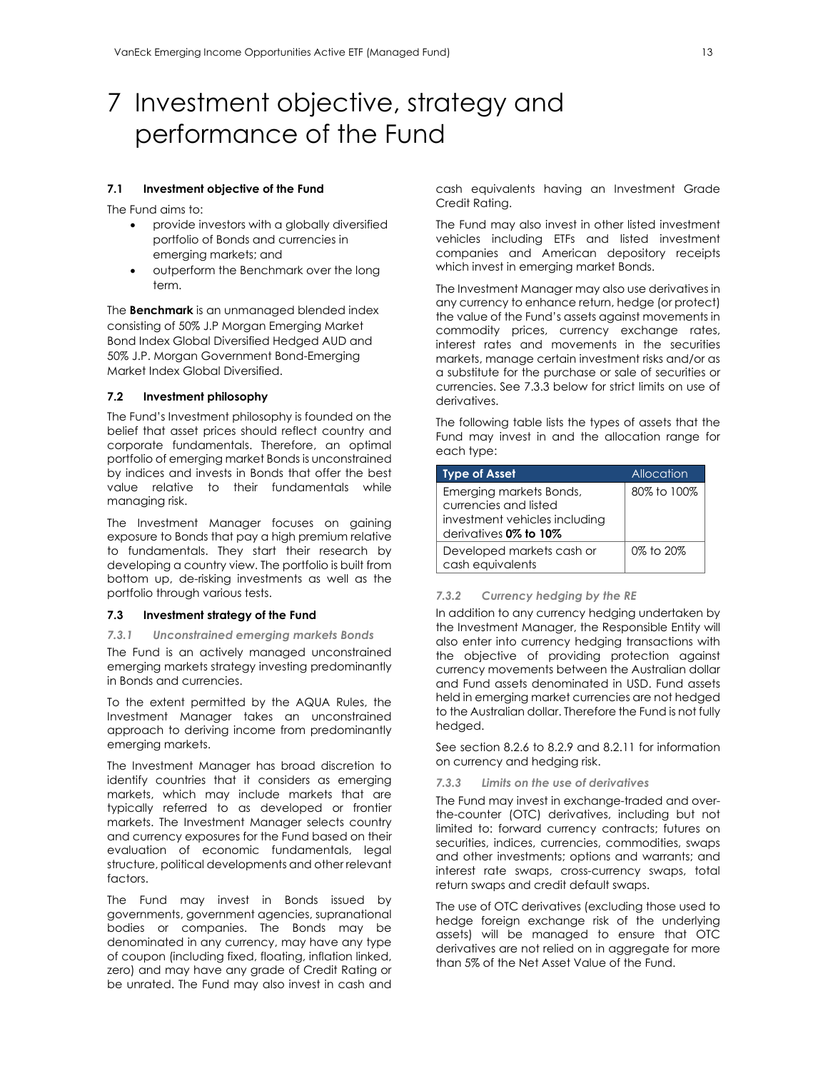# 7 Investment objective, strategy and performance of the Fund

#### **7.1 Investment objective of the Fund**

The Fund aims to:

- provide investors with a globally diversified portfolio of Bonds and currencies in emerging markets; and
- outperform the Benchmark over the long term.

The **Benchmark** is an unmanaged blended index consisting of 50% J.P Morgan Emerging Market Bond Index Global Diversified Hedged AUD and 50% J.P. Morgan Government Bond-Emerging Market Index Global Diversified.

# **7.2 Investment philosophy**

The Fund's Investment philosophy is founded on the belief that asset prices should reflect country and corporate fundamentals. Therefore, an optimal portfolio of emerging market Bonds is unconstrained by indices and invests in Bonds that offer the best value relative to their fundamentals while managing risk.

The Investment Manager focuses on gaining exposure to Bonds that pay a high premium relative to fundamentals. They start their research by developing a country view. The portfolio is built from bottom up, de-risking investments as well as the portfolio through various tests.

#### **7.3 Investment strategy of the Fund**

*7.3.1 Unconstrained emerging markets Bonds* 

The Fund is an actively managed unconstrained emerging markets strategy investing predominantly in Bonds and currencies.

To the extent permitted by the AQUA Rules, the Investment Manager takes an unconstrained approach to deriving income from predominantly emerging markets.

The Investment Manager has broad discretion to identify countries that it considers as emerging markets, which may include markets that are typically referred to as developed or frontier markets. The Investment Manager selects country and currency exposures for the Fund based on their evaluation of economic fundamentals, legal structure, political developments and other relevant factors.

The Fund may invest in Bonds issued by governments, government agencies, supranational bodies or companies. The Bonds may be denominated in any currency, may have any type of coupon (including fixed, floating, inflation linked, zero) and may have any grade of Credit Rating or be unrated. The Fund may also invest in cash and cash equivalents having an Investment Grade Credit Rating.

The Fund may also invest in other listed investment vehicles including ETFs and listed investment companies and American depository receipts which invest in emerging market Bonds.

The Investment Manager may also use derivatives in any currency to enhance return, hedge (or protect) the value of the Fund's assets against movements in commodity prices, currency exchange rates, interest rates and movements in the securities markets, manage certain investment risks and/or as a substitute for the purchase or sale of securities or currencies. See 7.3.3 below for strict limits on use of derivatives.

The following table lists the types of assets that the Fund may invest in and the allocation range for each type:

| <b>Type of Asset</b>                                                                                       | Allocation  |
|------------------------------------------------------------------------------------------------------------|-------------|
| Emerging markets Bonds,<br>currencies and listed<br>investment vehicles including<br>derivatives 0% to 10% | 80% to 100% |
| Developed markets cash or<br>cash equivalents                                                              | 0% to 20%   |

#### *7.3.2 Currency hedging by the RE*

In addition to any currency hedging undertaken by the Investment Manager, the Responsible Entity will also enter into currency hedging transactions with the objective of providing protection against currency movements between the Australian dollar and Fund assets denominated in USD. Fund assets held in emerging market currencies are not hedged to the Australian dollar. Therefore the Fund is not fully hedged.

See section 8.2.6 to 8.2.9 and 8.2.11 for information on currency and hedging risk.

### *7.3.3 Limits on the use of derivatives*

The Fund may invest in exchange-traded and overthe-counter (OTC) derivatives, including but not limited to: forward currency contracts; futures on securities, indices, currencies, commodities, swaps and other investments; options and warrants; and interest rate swaps, cross-currency swaps, total return swaps and credit default swaps.

The use of OTC derivatives (excluding those used to hedge foreign exchange risk of the underlying assets) will be managed to ensure that OTC derivatives are not relied on in aggregate for more than 5% of the Net Asset Value of the Fund.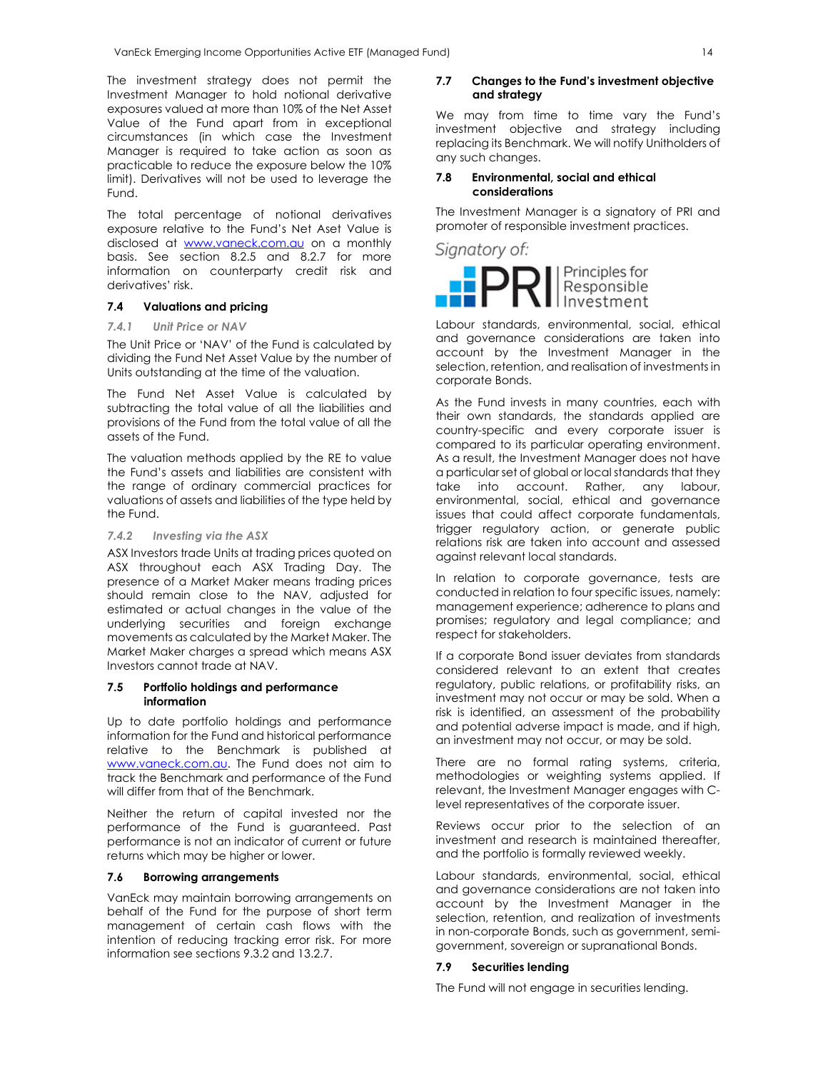The investment strategy does not permit the Investment Manager to hold notional derivative exposures valued at more than 10% of the Net Asset Value of the Fund apart from in exceptional circumstances (in which case the Investment Manager is required to take action as soon as practicable to reduce the exposure below the 10% limit). Derivatives will not be used to leverage the Fund.

The total percentage of notional derivatives exposure relative to the Fund's Net Aset Value is disclosed at www.vaneck.com.au on a monthly basis. See section 8.2.5 and 8.2.7 for more information on counterparty credit risk and derivatives' risk.

### **7.4 Valuations and pricing**

# *7.4.1 Unit Price or NAV*

The Unit Price or 'NAV' of the Fund is calculated by dividing the Fund Net Asset Value by the number of Units outstanding at the time of the valuation.

The Fund Net Asset Value is calculated by subtracting the total value of all the liabilities and provisions of the Fund from the total value of all the assets of the Fund.

The valuation methods applied by the RE to value the Fund's assets and liabilities are consistent with the range of ordinary commercial practices for valuations of assets and liabilities of the type held by the Fund.

## *7.4.2 Investing via the ASX*

ASX Investors trade Units at trading prices quoted on ASX throughout each ASX Trading Day. The presence of a Market Maker means trading prices should remain close to the NAV, adjusted for estimated or actual changes in the value of the underlying securities and foreign exchange movements as calculated by the Market Maker. The Market Maker charges a spread which means ASX Investors cannot trade at NAV.

#### **7.5 Portfolio holdings and performance information**

Up to date portfolio holdings and performance information for the Fund and historical performance relative to the Benchmark is published at www.vaneck.com.au. The Fund does not aim to track the Benchmark and performance of the Fund will differ from that of the Benchmark.

Neither the return of capital invested nor the performance of the Fund is guaranteed. Past performance is not an indicator of current or future returns which may be higher or lower.

#### **7.6 Borrowing arrangements**

VanEck may maintain borrowing arrangements on behalf of the Fund for the purpose of short term management of certain cash flows with the intention of reducing tracking error risk. For more information see sections 9.3.2 and 13.2.7.

### **7.7 Changes to the Fund's investment objective and strategy**

We may from time to time vary the Fund's investment objective and strategy including replacing its Benchmark. We will notify Unitholders of any such changes.

#### **7.8 Environmental, social and ethical considerations**

The Investment Manager is a signatory of PRI and promoter of responsible investment practices.



Labour standards, environmental, social, ethical and governance considerations are taken into account by the Investment Manager in the selection, retention, and realisation of investments in corporate Bonds.

As the Fund invests in many countries, each with their own standards, the standards applied are country-specific and every corporate issuer is compared to its particular operating environment. As a result, the Investment Manager does not have a particular set of global or local standards that they take into account. Rather, any labour, environmental, social, ethical and governance issues that could affect corporate fundamentals, trigger regulatory action, or generate public relations risk are taken into account and assessed against relevant local standards.

In relation to corporate governance, tests are conducted in relation to four specific issues, namely: management experience; adherence to plans and promises; regulatory and legal compliance; and respect for stakeholders.

If a corporate Bond issuer deviates from standards considered relevant to an extent that creates regulatory, public relations, or profitability risks, an investment may not occur or may be sold. When a risk is identified, an assessment of the probability and potential adverse impact is made, and if high, an investment may not occur, or may be sold.

There are no formal rating systems, criteria, methodologies or weighting systems applied. If relevant, the Investment Manager engages with Clevel representatives of the corporate issuer.

Reviews occur prior to the selection of an investment and research is maintained thereafter, and the portfolio is formally reviewed weekly.

Labour standards, environmental, social, ethical and governance considerations are not taken into account by the Investment Manager in the selection, retention, and realization of investments in non-corporate Bonds, such as government, semigovernment, sovereign or supranational Bonds.

### **7.9 Securities lending**

The Fund will not engage in securities lending.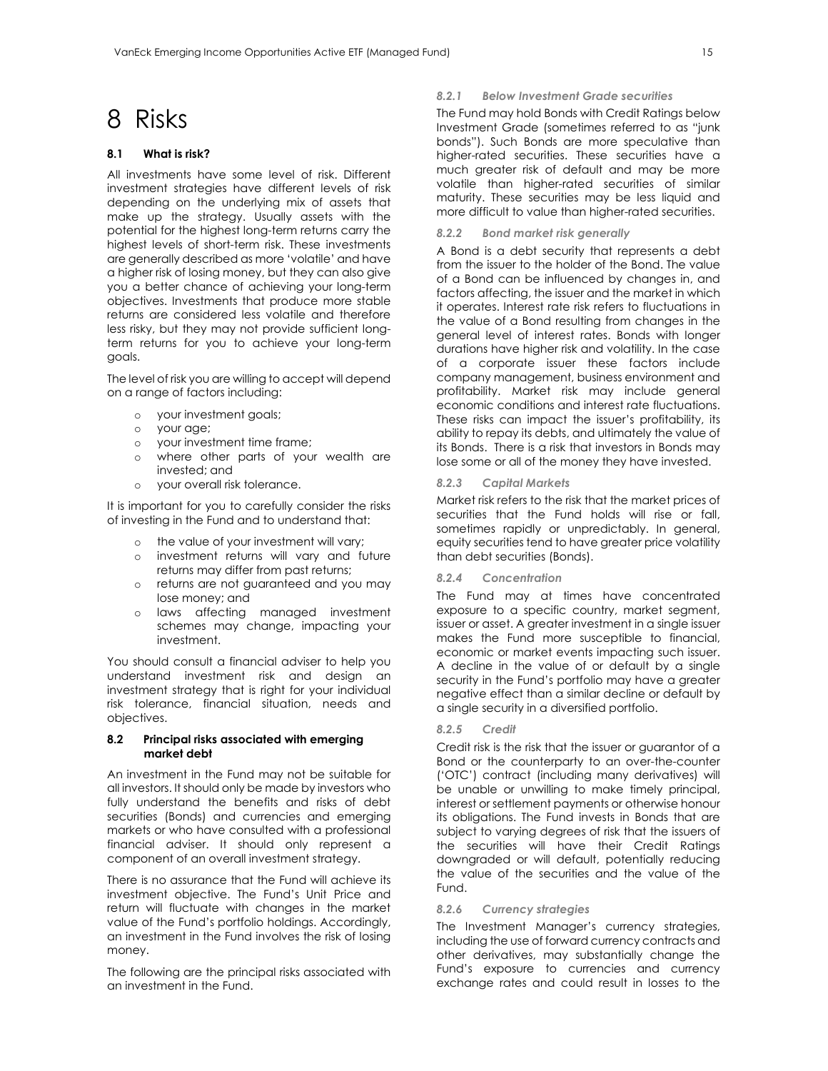# 8 Risks

# **8.1 What is risk?**

All investments have some level of risk. Different investment strategies have different levels of risk depending on the underlying mix of assets that make up the strategy. Usually assets with the potential for the highest long-term returns carry the highest levels of short-term risk. These investments are generally described as more 'volatile' and have a higher risk of losing money, but they can also give you a better chance of achieving your long-term objectives. Investments that produce more stable returns are considered less volatile and therefore less risky, but they may not provide sufficient longterm returns for you to achieve your long-term goals.

The level of risk you are willing to accept will depend on a range of factors including:

- o your investment goals;
- o your age;
- o your investment time frame;
- o where other parts of your wealth are invested; and
- o your overall risk tolerance.

It is important for you to carefully consider the risks of investing in the Fund and to understand that:

- o the value of your investment will vary;
- o investment returns will vary and future returns may differ from past returns;
- o returns are not guaranteed and you may lose money; and
- o laws affecting managed investment schemes may change, impacting your investment.

You should consult a financial adviser to help you understand investment risk and design an investment strategy that is right for your individual risk tolerance, financial situation, needs and objectives.

# **8.2 Principal risks associated with emerging market debt**

An investment in the Fund may not be suitable for all investors. It should only be made by investors who fully understand the benefits and risks of debt securities (Bonds) and currencies and emerging markets or who have consulted with a professional financial adviser. It should only represent a component of an overall investment strategy.

There is no assurance that the Fund will achieve its investment objective. The Fund's Unit Price and return will fluctuate with changes in the market value of the Fund's portfolio holdings. Accordingly, an investment in the Fund involves the risk of losing money.

The following are the principal risks associated with an investment in the Fund.

#### *8.2.1 Below Investment Grade securities*

The Fund may hold Bonds with Credit Ratings below Investment Grade (sometimes referred to as "junk bonds"). Such Bonds are more speculative than higher-rated securities. These securities have a much greater risk of default and may be more volatile than higher-rated securities of similar maturity. These securities may be less liquid and more difficult to value than higher-rated securities.

# *8.2.2 Bond market risk generally*

A Bond is a debt security that represents a debt from the issuer to the holder of the Bond. The value of a Bond can be influenced by changes in, and factors affecting, the issuer and the market in which it operates. Interest rate risk refers to fluctuations in the value of a Bond resulting from changes in the general level of interest rates. Bonds with longer durations have higher risk and volatility. In the case of a corporate issuer these factors include company management, business environment and profitability. Market risk may include general economic conditions and interest rate fluctuations. These risks can impact the issuer's profitability, its ability to repay its debts, and ultimately the value of its Bonds. There is a risk that investors in Bonds may lose some or all of the money they have invested.

#### *8.2.3 Capital Markets*

Market risk refers to the risk that the market prices of securities that the Fund holds will rise or fall, sometimes rapidly or unpredictably. In general, equity securities tend to have greater price volatility than debt securities (Bonds).

# *8.2.4 Concentration*

The Fund may at times have concentrated exposure to a specific country, market segment, issuer or asset. A greater investment in a single issuer makes the Fund more susceptible to financial, economic or market events impacting such issuer. A decline in the value of or default by a single security in the Fund's portfolio may have a greater negative effect than a similar decline or default by a single security in a diversified portfolio.

#### *8.2.5 Credit*

Credit risk is the risk that the issuer or guarantor of a Bond or the counterparty to an over-the-counter ('OTC') contract (including many derivatives) will be unable or unwilling to make timely principal, interest or settlement payments or otherwise honour its obligations. The Fund invests in Bonds that are subject to varying degrees of risk that the issuers of the securities will have their Credit Ratings downgraded or will default, potentially reducing the value of the securities and the value of the **Fund.** 

#### *8.2.6 Currency strategies*

The Investment Manager's currency strategies, including the use of forward currency contracts and other derivatives, may substantially change the Fund's exposure to currencies and currency exchange rates and could result in losses to the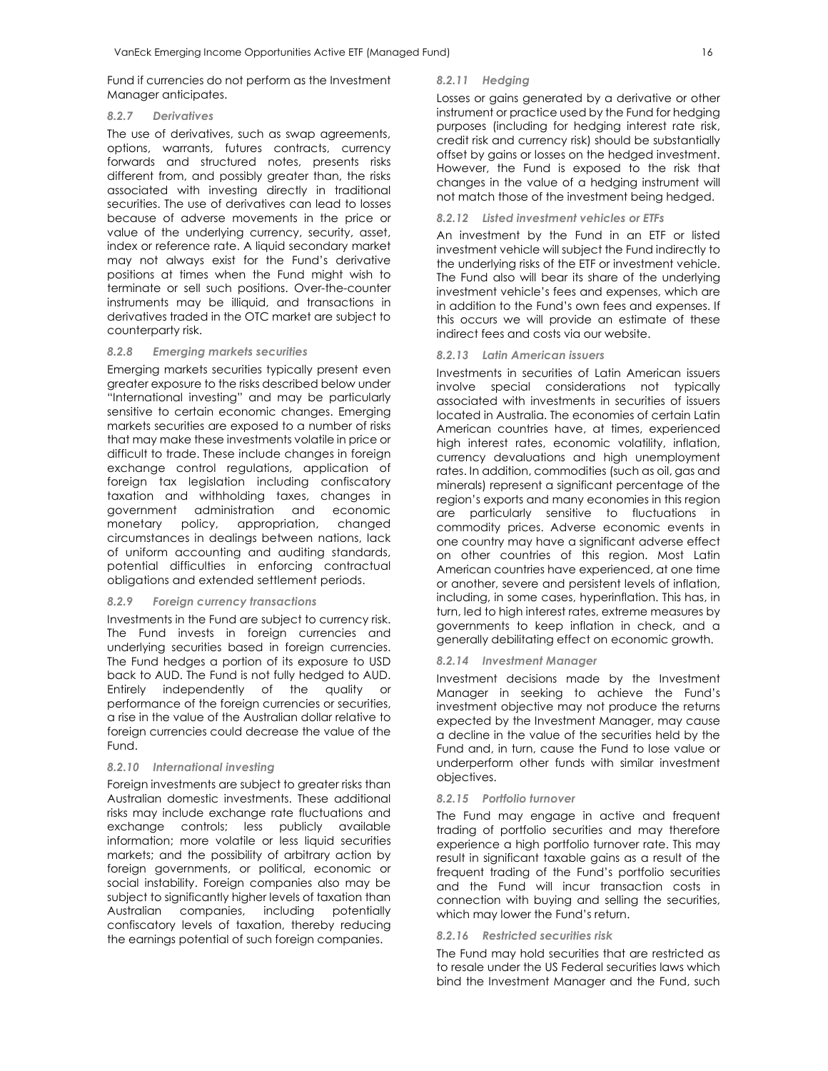Fund if currencies do not perform as the Investment Manager anticipates.

#### *8.2.7 Derivatives*

The use of derivatives, such as swap agreements, options, warrants, futures contracts, currency forwards and structured notes, presents risks different from, and possibly greater than, the risks associated with investing directly in traditional securities. The use of derivatives can lead to losses because of adverse movements in the price or value of the underlying currency, security, asset, index or reference rate. A liquid secondary market may not always exist for the Fund's derivative positions at times when the Fund might wish to terminate or sell such positions. Over-the-counter instruments may be illiquid, and transactions in derivatives traded in the OTC market are subject to counterparty risk.

#### *8.2.8 Emerging markets securities*

Emerging markets securities typically present even greater exposure to the risks described below under "International investing" and may be particularly sensitive to certain economic changes. Emerging markets securities are exposed to a number of risks that may make these investments volatile in price or difficult to trade. These include changes in foreign exchange control regulations, application of foreign tax legislation including confiscatory taxation and withholding taxes, changes in government administration and economic monetary policy, appropriation, changed circumstances in dealings between nations, lack of uniform accounting and auditing standards, potential difficulties in enforcing contractual obligations and extended settlement periods.

#### *8.2.9 Foreign currency transactions*

Investments in the Fund are subject to currency risk. The Fund invests in foreign currencies and underlying securities based in foreign currencies. The Fund hedges a portion of its exposure to USD back to AUD. The Fund is not fully hedged to AUD. Entirely independently of the quality or performance of the foreign currencies or securities, a rise in the value of the Australian dollar relative to foreign currencies could decrease the value of the Fund.

#### *8.2.10 International investing*

Foreign investments are subject to greater risks than Australian domestic investments. These additional risks may include exchange rate fluctuations and exchange controls; less publicly available information; more volatile or less liquid securities markets; and the possibility of arbitrary action by foreign governments, or political, economic or social instability. Foreign companies also may be subject to significantly higher levels of taxation than Australian companies, including potentially confiscatory levels of taxation, thereby reducing the earnings potential of such foreign companies.

#### *8.2.11 Hedging*

Losses or gains generated by a derivative or other instrument or practice used by the Fund for hedging purposes (including for hedging interest rate risk, credit risk and currency risk) should be substantially offset by gains or losses on the hedged investment. However, the Fund is exposed to the risk that changes in the value of a hedging instrument will not match those of the investment being hedged.

#### *8.2.12 Listed investment vehicles or ETFs*

An investment by the Fund in an ETF or listed investment vehicle will subject the Fund indirectly to the underlying risks of the ETF or investment vehicle. The Fund also will bear its share of the underlying investment vehicle's fees and expenses, which are in addition to the Fund's own fees and expenses. If this occurs we will provide an estimate of these indirect fees and costs via our website.

#### *8.2.13 Latin American issuers*

Investments in securities of Latin American issuers involve special considerations not typically associated with investments in securities of issuers located in Australia. The economies of certain Latin American countries have, at times, experienced high interest rates, economic volatility, inflation, currency devaluations and high unemployment rates. In addition, commodities (such as oil, gas and minerals) represent a significant percentage of the region's exports and many economies in this region are particularly sensitive to fluctuations in commodity prices. Adverse economic events in one country may have a significant adverse effect on other countries of this region. Most Latin American countries have experienced, at one time or another, severe and persistent levels of inflation, including, in some cases, hyperinflation. This has, in turn, led to high interest rates, extreme measures by governments to keep inflation in check, and a generally debilitating effect on economic growth.

#### *8.2.14 Investment Manager*

Investment decisions made by the Investment Manager in seeking to achieve the Fund's investment objective may not produce the returns expected by the Investment Manager, may cause a decline in the value of the securities held by the Fund and, in turn, cause the Fund to lose value or underperform other funds with similar investment objectives.

#### *8.2.15 Portfolio turnover*

The Fund may engage in active and frequent trading of portfolio securities and may therefore experience a high portfolio turnover rate. This may result in significant taxable gains as a result of the frequent trading of the Fund's portfolio securities and the Fund will incur transaction costs in connection with buying and selling the securities, which may lower the Fund's return.

### *8.2.16 Restricted securities risk*

The Fund may hold securities that are restricted as to resale under the US Federal securities laws which bind the Investment Manager and the Fund, such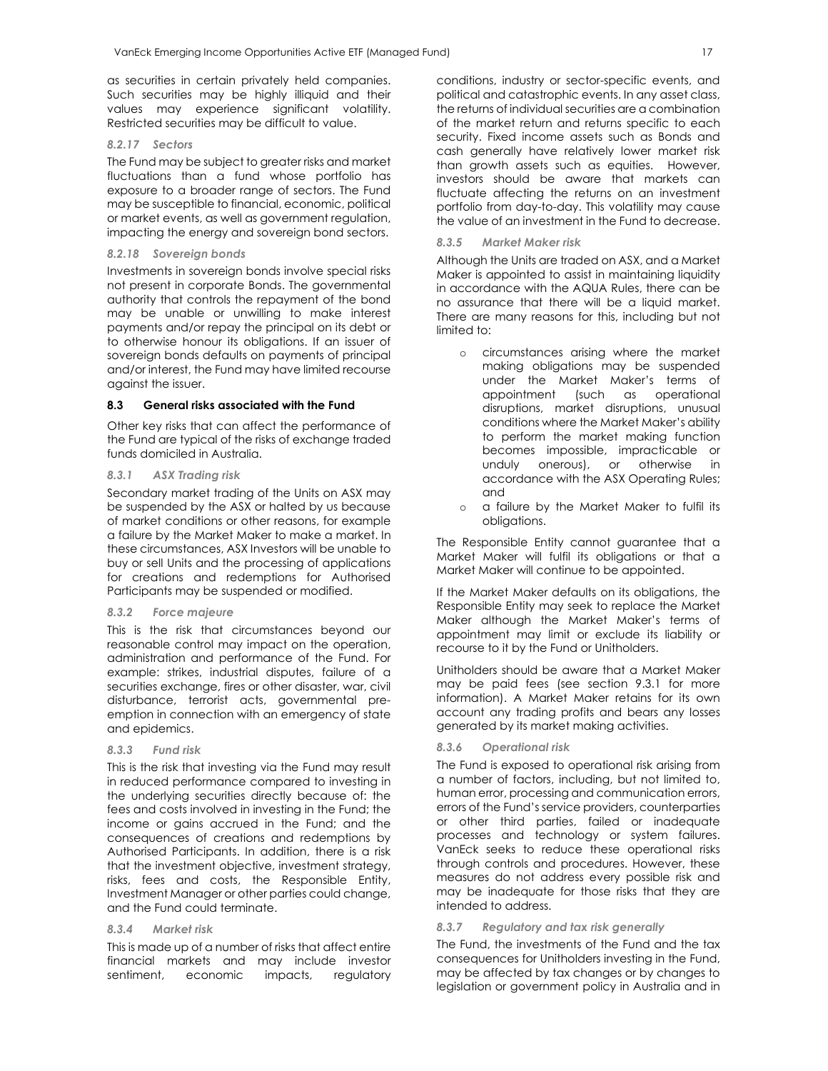as securities in certain privately held companies. Such securities may be highly illiquid and their values may experience significant volatility. Restricted securities may be difficult to value.

#### *8.2.17 Sectors*

The Fund may be subject to greater risks and market fluctuations than a fund whose portfolio has exposure to a broader range of sectors. The Fund may be susceptible to financial, economic, political or market events, as well as government regulation, impacting the energy and sovereign bond sectors.

#### *8.2.18 Sovereign bonds*

Investments in sovereign bonds involve special risks not present in corporate Bonds. The governmental authority that controls the repayment of the bond may be unable or unwilling to make interest payments and/or repay the principal on its debt or to otherwise honour its obligations. If an issuer of sovereign bonds defaults on payments of principal and/or interest, the Fund may have limited recourse against the issuer.

#### **8.3 General risks associated with the Fund**

Other key risks that can affect the performance of the Fund are typical of the risks of exchange traded funds domiciled in Australia.

#### *8.3.1 ASX Trading risk*

Secondary market trading of the Units on ASX may be suspended by the ASX or halted by us because of market conditions or other reasons, for example a failure by the Market Maker to make a market. In these circumstances, ASX Investors will be unable to buy or sell Units and the processing of applications for creations and redemptions for Authorised Participants may be suspended or modified.

#### *8.3.2 Force majeure*

This is the risk that circumstances beyond our reasonable control may impact on the operation, administration and performance of the Fund. For example: strikes, industrial disputes, failure of a securities exchange, fires or other disaster, war, civil disturbance, terrorist acts, governmental preemption in connection with an emergency of state and epidemics.

# *8.3.3 Fund risk*

This is the risk that investing via the Fund may result in reduced performance compared to investing in the underlying securities directly because of: the fees and costs involved in investing in the Fund; the income or gains accrued in the Fund; and the consequences of creations and redemptions by Authorised Participants. In addition, there is a risk that the investment objective, investment strategy, risks, fees and costs, the Responsible Entity, Investment Manager or other parties could change, and the Fund could terminate.

#### *8.3.4 Market risk*

This is made up of a number of risks that affect entire financial markets and may include investor sentiment, economic impacts, regulatory conditions, industry or sector-specific events, and political and catastrophic events. In any asset class, the returns of individual securities are a combination of the market return and returns specific to each security. Fixed income assets such as Bonds and cash generally have relatively lower market risk than growth assets such as equities. However, investors should be aware that markets can fluctuate affecting the returns on an investment portfolio from day-to-day. This volatility may cause the value of an investment in the Fund to decrease.

#### *8.3.5 Market Maker risk*

Although the Units are traded on ASX, and a Market Maker is appointed to assist in maintaining liquidity in accordance with the AQUA Rules, there can be no assurance that there will be a liquid market. There are many reasons for this, including but not limited to:

- o circumstances arising where the market making obligations may be suspended under the Market Maker's terms of<br>appointment (such as operational appointment disruptions, market disruptions, unusual conditions where the Market Maker's ability to perform the market making function becomes impossible, impracticable or unduly onerous), or otherwise in accordance with the ASX Operating Rules; and
- o a failure by the Market Maker to fulfil its obligations.

The Responsible Entity cannot guarantee that a Market Maker will fulfil its obligations or that a Market Maker will continue to be appointed.

If the Market Maker defaults on its obligations, the Responsible Entity may seek to replace the Market Maker although the Market Maker's terms of appointment may limit or exclude its liability or recourse to it by the Fund or Unitholders.

Unitholders should be aware that a Market Maker may be paid fees (see section 9.3.1 for more information). A Market Maker retains for its own account any trading profits and bears any losses generated by its market making activities.

#### *8.3.6 Operational risk*

The Fund is exposed to operational risk arising from a number of factors, including, but not limited to, human error, processing and communication errors, errors of the Fund's service providers, counterparties or other third parties, failed or inadequate processes and technology or system failures. VanEck seeks to reduce these operational risks through controls and procedures. However, these measures do not address every possible risk and may be inadequate for those risks that they are intended to address.

#### *8.3.7 Regulatory and tax risk generally*

The Fund, the investments of the Fund and the tax consequences for Unitholders investing in the Fund, may be affected by tax changes or by changes to legislation or government policy in Australia and in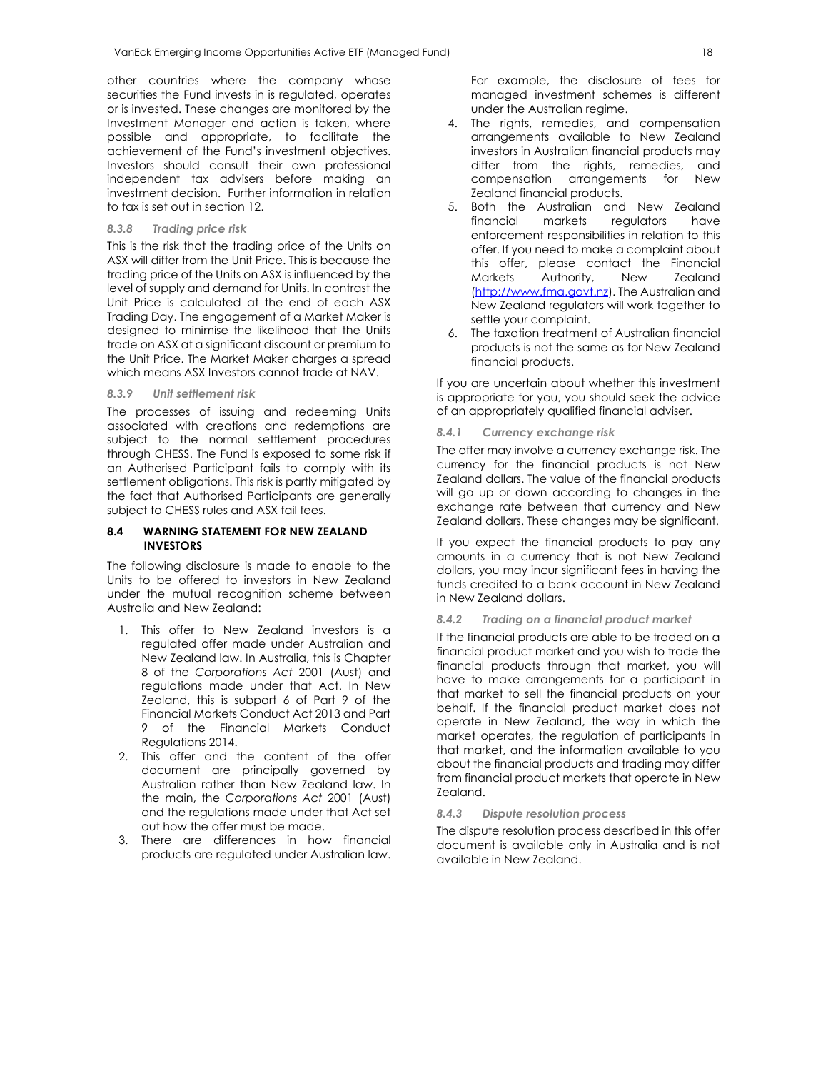other countries where the company whose securities the Fund invests in is regulated, operates or is invested. These changes are monitored by the Investment Manager and action is taken, where possible and appropriate, to facilitate the achievement of the Fund's investment objectives. Investors should consult their own professional independent tax advisers before making an investment decision. Further information in relation to tax is set out in section 12.

## *8.3.8 Trading price risk*

This is the risk that the trading price of the Units on ASX will differ from the Unit Price. This is because the trading price of the Units on ASX is influenced by the level of supply and demand for Units. In contrast the Unit Price is calculated at the end of each ASX Trading Day. The engagement of a Market Maker is designed to minimise the likelihood that the Units trade on ASX at a significant discount or premium to the Unit Price. The Market Maker charges a spread which means ASX Investors cannot trade at NAV.

#### *8.3.9 Unit settlement risk*

The processes of issuing and redeeming Units associated with creations and redemptions are subject to the normal settlement procedures through CHESS. The Fund is exposed to some risk if an Authorised Participant fails to comply with its settlement obligations. This risk is partly mitigated by the fact that Authorised Participants are generally subject to CHESS rules and ASX fail fees.

## **8.4 WARNING STATEMENT FOR NEW ZEALAND INVESTORS**

The following disclosure is made to enable to the Units to be offered to investors in New Zealand under the mutual recognition scheme between Australia and New Zealand:

- 1. This offer to New Zealand investors is a regulated offer made under Australian and New Zealand law. In Australia, this is Chapter 8 of the *Corporations Act* 2001 (Aust) and regulations made under that Act. In New Zealand, this is subpart 6 of Part 9 of the Financial Markets Conduct Act 2013 and Part 9 of the Financial Markets Conduct Regulations 2014.
- 2. This offer and the content of the offer document are principally governed by Australian rather than New Zealand law. In the main, the *Corporations Act* 2001 (Aust) and the regulations made under that Act set out how the offer must be made.
- 3. There are differences in how financial products are regulated under Australian law.

For example, the disclosure of fees for managed investment schemes is different under the Australian regime.

- 4. The rights, remedies, and compensation arrangements available to New Zealand investors in Australian financial products may differ from the rights, remedies, and compensation arrangements for New Zealand financial products.
- 5. Both the Australian and New Zealand financial markets regulators have enforcement responsibilities in relation to this offer. If you need to make a complaint about this offer, please contact the Financial Markets Authority, New Zealand (http://www.fma.govt.nz). The Australian and New Zealand regulators will work together to settle your complaint.
- 6. The taxation treatment of Australian financial products is not the same as for New Zealand financial products.

If you are uncertain about whether this investment is appropriate for you, you should seek the advice of an appropriately qualified financial adviser.

#### *8.4.1 Currency exchange risk*

The offer may involve a currency exchange risk. The currency for the financial products is not New Zealand dollars. The value of the financial products will go up or down according to changes in the exchange rate between that currency and New Zealand dollars. These changes may be significant.

If you expect the financial products to pay any amounts in a currency that is not New Zealand dollars, you may incur significant fees in having the funds credited to a bank account in New Zealand in New Zealand dollars.

## *8.4.2 Trading on a financial product market*

If the financial products are able to be traded on a financial product market and you wish to trade the financial products through that market, you will have to make arrangements for a participant in that market to sell the financial products on your behalf. If the financial product market does not operate in New Zealand, the way in which the market operates, the regulation of participants in that market, and the information available to you about the financial products and trading may differ from financial product markets that operate in New Zealand.

#### *8.4.3 Dispute resolution process*

The dispute resolution process described in this offer document is available only in Australia and is not available in New Zealand.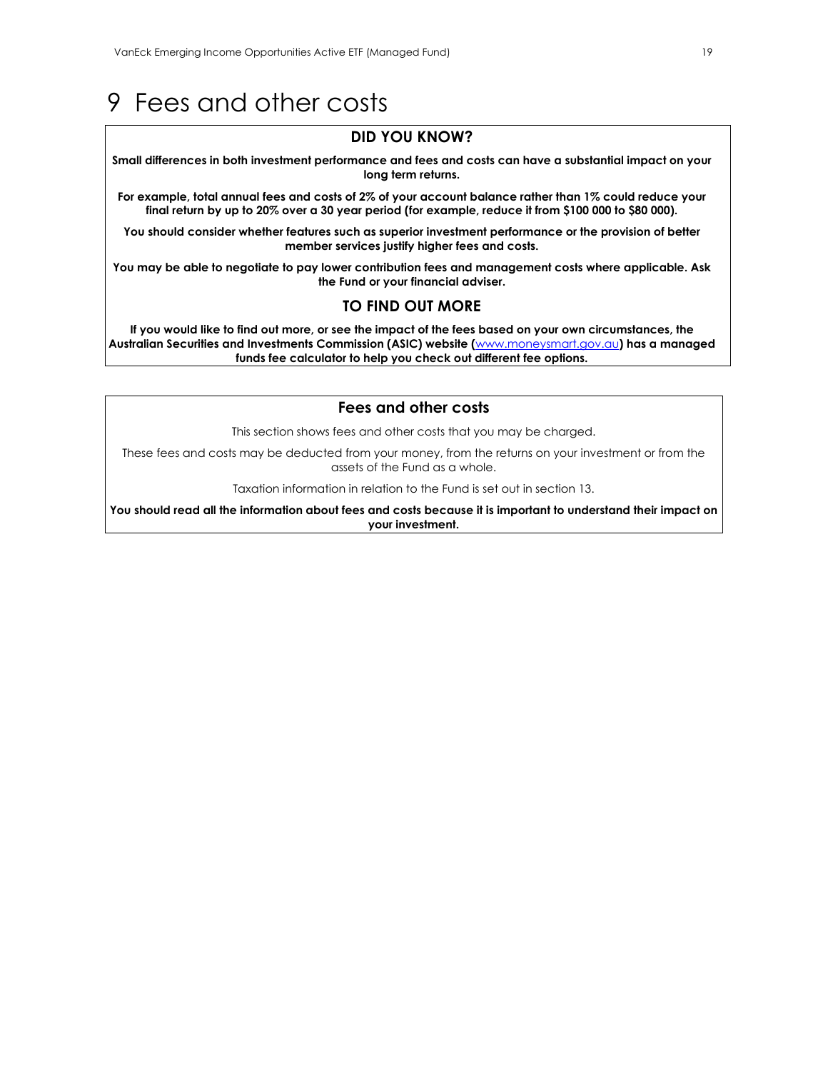# 9 Fees and other costs

# **DID YOU KNOW?**

**Small differences in both investment performance and fees and costs can have a substantial impact on your long term returns.** 

**For example, total annual fees and costs of 2% of your account balance rather than 1% could reduce your final return by up to 20% over a 30 year period (for example, reduce it from \$100 000 to \$80 000).** 

**You should consider whether features such as superior investment performance or the provision of better member services justify higher fees and costs.** 

**You may be able to negotiate to pay lower contribution fees and management costs where applicable. Ask the Fund or your financial adviser.** 

# **TO FIND OUT MORE**

**If you would like to find out more, or see the impact of the fees based on your own circumstances, the Australian Securities and Investments Commission (ASIC) website (**www.moneysmart.gov.au**) has a managed funds fee calculator to help you check out different fee options.** 

# **Fees and other costs**

This section shows fees and other costs that you may be charged.

These fees and costs may be deducted from your money, from the returns on your investment or from the assets of the Fund as a whole.

Taxation information in relation to the Fund is set out in section 13.

**You should read all the information about fees and costs because it is important to understand their impact on your investment.**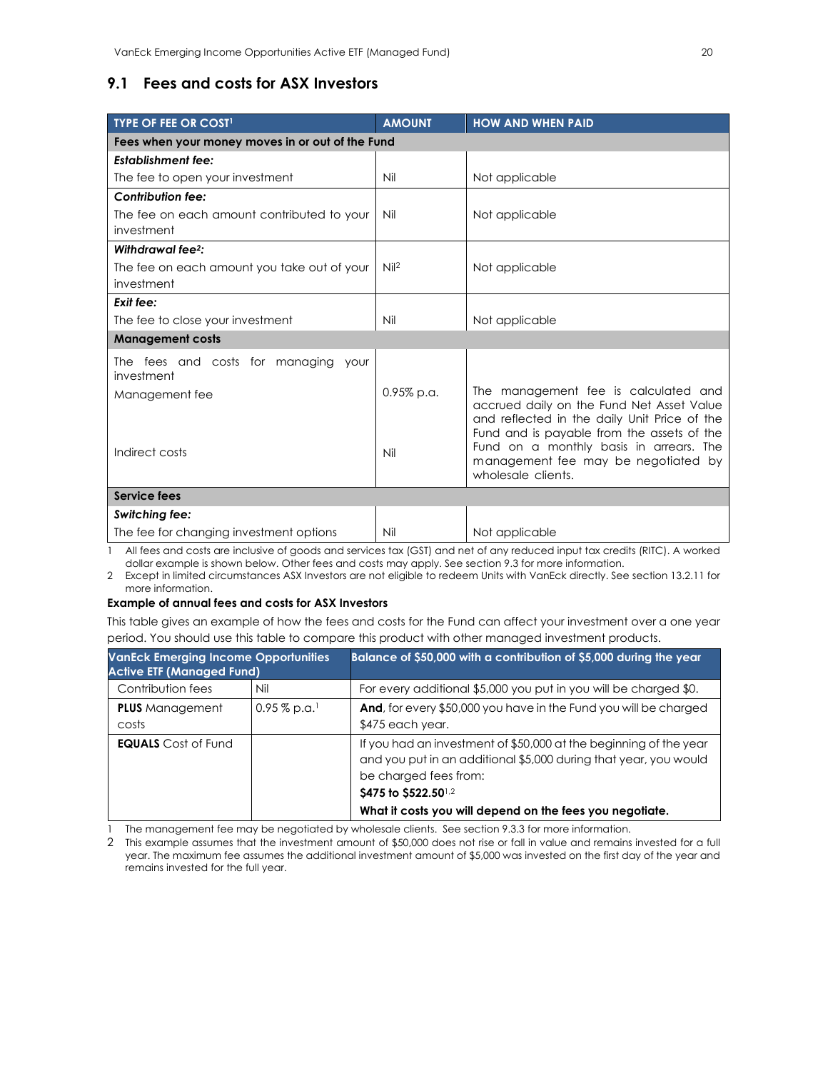# **9.1 Fees and costs for ASX Investors**

| <b>TYPE OF FEE OR COST!</b>                           | <b>AMOUNT</b>   | <b>HOW AND WHEN PAID</b>                                                                                                                                                           |  |
|-------------------------------------------------------|-----------------|------------------------------------------------------------------------------------------------------------------------------------------------------------------------------------|--|
| Fees when your money moves in or out of the Fund      |                 |                                                                                                                                                                                    |  |
| <b>Establishment fee:</b>                             |                 |                                                                                                                                                                                    |  |
| The fee to open your investment                       | Nil             | Not applicable                                                                                                                                                                     |  |
| <b>Contribution fee:</b>                              |                 |                                                                                                                                                                                    |  |
| The fee on each amount contributed to your            | Nil             | Not applicable                                                                                                                                                                     |  |
| investment                                            |                 |                                                                                                                                                                                    |  |
| Withdrawal fee <sup>2</sup> :                         |                 |                                                                                                                                                                                    |  |
| The fee on each amount you take out of your           | Ni <sup>2</sup> | Not applicable                                                                                                                                                                     |  |
| investment                                            |                 |                                                                                                                                                                                    |  |
| Exit fee:                                             |                 |                                                                                                                                                                                    |  |
| The fee to close your investment                      | Nil             | Not applicable                                                                                                                                                                     |  |
| <b>Management costs</b>                               |                 |                                                                                                                                                                                    |  |
| The fees and costs for managing<br>your<br>investment |                 |                                                                                                                                                                                    |  |
| Management fee                                        | $0.95\%$ p.a.   | The management fee is calculated and                                                                                                                                               |  |
|                                                       |                 | accrued daily on the Fund Net Asset Value<br>and reflected in the daily Unit Price of the<br>Fund and is payable from the assets of the<br>Fund on a monthly basis in arrears. The |  |
| Indirect costs                                        | Nil             | management fee may be negotiated by<br>wholesale clients.                                                                                                                          |  |
| Service fees                                          |                 |                                                                                                                                                                                    |  |
| <b>Switching fee:</b>                                 |                 |                                                                                                                                                                                    |  |
| The fee for changing investment options               | Nil             | Not applicable                                                                                                                                                                     |  |

1 All fees and costs are inclusive of goods and services tax (GST) and net of any reduced input tax credits (RITC). A worked dollar example is shown below. Other fees and costs may apply. See section 9.3 for more information.

2 Except in limited circumstances ASX Investors are not eligible to redeem Units with VanEck directly. See section 13.2.11 for more information.

## **Example of annual fees and costs for ASX Investors**

This table gives an example of how the fees and costs for the Fund can affect your investment over a one year period. You should use this table to compare this product with other managed investment products.

| <b>VanEck Emerging Income Opportunities</b><br><b>Active ETF (Managed Fund)</b> |                            | Balance of \$50,000 with a contribution of \$5,000 during the year                                                                                                                                                                                 |  |
|---------------------------------------------------------------------------------|----------------------------|----------------------------------------------------------------------------------------------------------------------------------------------------------------------------------------------------------------------------------------------------|--|
| Contribution fees                                                               | Nil                        | For every additional \$5,000 you put in you will be charged \$0.                                                                                                                                                                                   |  |
| <b>PLUS</b> Management<br>costs                                                 | $0.95\%$ p.a. <sup>1</sup> | And, for every \$50,000 you have in the Fund you will be charged<br>\$475 each year.                                                                                                                                                               |  |
| <b>EQUALS</b> Cost of Fund                                                      |                            | If you had an investment of \$50,000 at the beginning of the year<br>and you put in an additional \$5,000 during that year, you would<br>be charged fees from:<br>\$475 to \$522.501,2<br>What it costs you will depend on the fees you negotiate. |  |

1 The management fee may be negotiated by wholesale clients. See section 9.3.3 for more information.

2 This example assumes that the investment amount of \$50,000 does not rise or fall in value and remains invested for a full year. The maximum fee assumes the additional investment amount of \$5,000 was invested on the first day of the year and remains invested for the full year.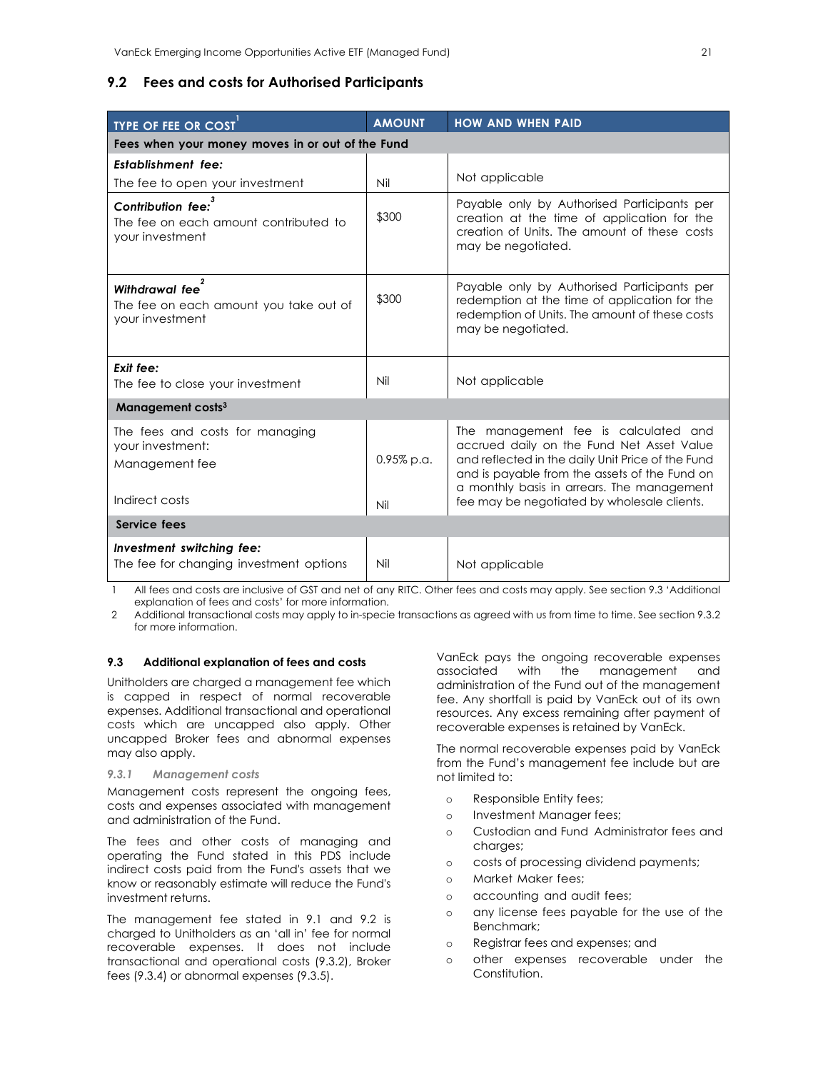# **9.2 Fees and costs for Authorised Participants**

| <b>TYPE OF FEE OR COST</b>                                                              | <b>AMOUNT</b>     | <b>HOW AND WHEN PAID</b>                                                                                                                                                                                                                                                             |  |
|-----------------------------------------------------------------------------------------|-------------------|--------------------------------------------------------------------------------------------------------------------------------------------------------------------------------------------------------------------------------------------------------------------------------------|--|
| Fees when your money moves in or out of the Fund                                        |                   |                                                                                                                                                                                                                                                                                      |  |
| <b>Establishment fee:</b>                                                               |                   |                                                                                                                                                                                                                                                                                      |  |
| The fee to open your investment                                                         | Nil               | Not applicable                                                                                                                                                                                                                                                                       |  |
| 3<br>Contribution fee:<br>The fee on each amount contributed to<br>your investment      | \$300             | Payable only by Authorised Participants per<br>creation at the time of application for the<br>creation of Units. The amount of these costs<br>may be negotiated.                                                                                                                     |  |
| Withdrawal fee<br>The fee on each amount you take out of<br>your investment             | \$300             | Payable only by Authorised Participants per<br>redemption at the time of application for the<br>redemption of Units. The amount of these costs<br>may be negotiated.                                                                                                                 |  |
| Exit fee:<br>The fee to close your investment                                           | Nil               | Not applicable                                                                                                                                                                                                                                                                       |  |
| Management costs <sup>3</sup>                                                           |                   |                                                                                                                                                                                                                                                                                      |  |
| The fees and costs for managing<br>your investment:<br>Management fee<br>Indirect costs | 0.95% p.a.<br>Nil | The management fee is calculated and<br>accrued daily on the Fund Net Asset Value<br>and reflected in the daily Unit Price of the Fund<br>and is payable from the assets of the Fund on<br>a monthly basis in arrears. The management<br>fee may be negotiated by wholesale clients. |  |
| Service fees                                                                            |                   |                                                                                                                                                                                                                                                                                      |  |
| Investment switching fee:<br>The fee for changing investment options                    | Nil               | Not applicable                                                                                                                                                                                                                                                                       |  |
|                                                                                         |                   |                                                                                                                                                                                                                                                                                      |  |

1 All fees and costs are inclusive of GST and net of any RITC. Other fees and costs may apply. See section 9.3 'Additional explanation of fees and costs' for more information.

2 Additional transactional costs may apply to in-specie transactions as agreed with us from time to time. See section 9.3.2 for more information.

# **9.3 Additional explanation of fees and costs**

Unitholders are charged a management fee which is capped in respect of normal recoverable expenses. Additional transactional and operational costs which are uncapped also apply. Other uncapped Broker fees and abnormal expenses may also apply.

#### *9.3.1 Management costs*

Management costs represent the ongoing fees, costs and expenses associated with management and administration of the Fund.

The fees and other costs of managing and operating the Fund stated in this PDS include indirect costs paid from the Fund's assets that we know or reasonably estimate will reduce the Fund's investment returns.

The management fee stated in 9.1 and 9.2 is charged to Unitholders as an 'all in' fee for normal recoverable expenses. It does not include transactional and operational costs (9.3.2), Broker fees (9.3.4) or abnormal expenses (9.3.5).

VanEck pays the ongoing recoverable expenses associated with the management and administration of the Fund out of the management fee. Any shortfall is paid by VanEck out of its own resources. Any excess remaining after payment of recoverable expenses is retained by VanEck.

The normal recoverable expenses paid by VanEck from the Fund's management fee include but are not limited to:

- o Responsible Entity fees;
- o Investment Manager fees;
- o Custodian and Fund Administrator fees and charges;
- o costs of processing dividend payments;
- o Market Maker fees;
- o accounting and audit fees;
- o any license fees payable for the use of the Benchmark;
- o Registrar fees and expenses; and
- o other expenses recoverable under the Constitution.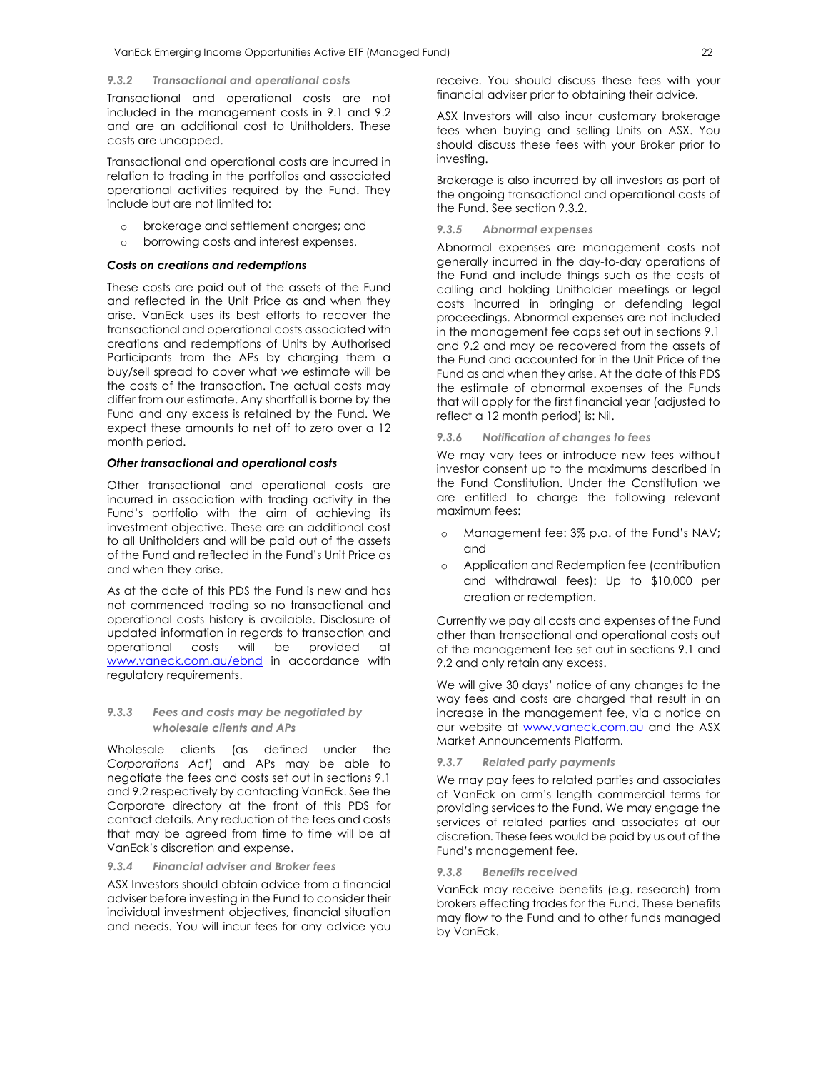#### *9.3.2 Transactional and operational costs*

Transactional and operational costs are not included in the management costs in 9.1 and 9.2 and are an additional cost to Unitholders. These costs are uncapped.

Transactional and operational costs are incurred in relation to trading in the portfolios and associated operational activities required by the Fund. They include but are not limited to:

- o brokerage and settlement charges; and
- o borrowing costs and interest expenses.

#### *Costs on creations and redemptions*

These costs are paid out of the assets of the Fund and reflected in the Unit Price as and when they arise. VanEck uses its best efforts to recover the transactional and operational costs associated with creations and redemptions of Units by Authorised Participants from the APs by charging them a buy/sell spread to cover what we estimate will be the costs of the transaction. The actual costs may differ from our estimate. Any shortfall is borne by the Fund and any excess is retained by the Fund. We expect these amounts to net off to zero over a 12 month period.

#### *Other transactional and operational costs*

Other transactional and operational costs are incurred in association with trading activity in the Fund's portfolio with the aim of achieving its investment objective. These are an additional cost to all Unitholders and will be paid out of the assets of the Fund and reflected in the Fund's Unit Price as and when they arise.

As at the date of this PDS the Fund is new and has not commenced trading so no transactional and operational costs history is available. Disclosure of updated information in regards to transaction and operational costs will be provided at www.vaneck.com.au/ebnd in accordance with regulatory requirements.

# *9.3.3 Fees and costs may be negotiated by wholesale clients and APs*

Wholesale clients (as defined under the *Corporations Act*) and APs may be able to negotiate the fees and costs set out in sections 9.1 and 9.2 respectively by contacting VanEck. See the Corporate directory at the front of this PDS for contact details. Any reduction of the fees and costs that may be agreed from time to time will be at VanEck's discretion and expense.

### *9.3.4 Financial adviser and Broker fees*

ASX Investors should obtain advice from a financial adviser before investing in the Fund to consider their individual investment objectives, financial situation and needs. You will incur fees for any advice you receive. You should discuss these fees with your financial adviser prior to obtaining their advice.

ASX Investors will also incur customary brokerage fees when buying and selling Units on ASX. You should discuss these fees with your Broker prior to investing.

Brokerage is also incurred by all investors as part of the ongoing transactional and operational costs of the Fund. See section 9.3.2.

# *9.3.5 Abnormal expenses*

Abnormal expenses are management costs not generally incurred in the day-to-day operations of the Fund and include things such as the costs of calling and holding Unitholder meetings or legal costs incurred in bringing or defending legal proceedings. Abnormal expenses are not included in the management fee caps set out in sections 9.1 and 9.2 and may be recovered from the assets of the Fund and accounted for in the Unit Price of the Fund as and when they arise. At the date of this PDS the estimate of abnormal expenses of the Funds that will apply for the first financial year (adjusted to reflect a 12 month period) is: Nil.

*9.3.6 Notification of changes to fees* 

We may vary fees or introduce new fees without investor consent up to the maximums described in the Fund Constitution. Under the Constitution we are entitled to charge the following relevant maximum fees:

- o Management fee: 3% p.a. of the Fund's NAV; and
- o Application and Redemption fee (contribution and withdrawal fees): Up to \$10,000 per creation or redemption.

Currently we pay all costs and expenses of the Fund other than transactional and operational costs out of the management fee set out in sections 9.1 and 9.2 and only retain any excess.

We will give 30 days' notice of any changes to the way fees and costs are charged that result in an increase in the management fee, via a notice on our website at www.vaneck.com.au and the ASX Market Announcements Platform.

#### *9.3.7 Related party payments*

We may pay fees to related parties and associates of VanEck on arm's length commercial terms for providing services to the Fund. We may engage the services of related parties and associates at our discretion. These fees would be paid by us out of the Fund's management fee.

#### *9.3.8 Benefits received*

VanEck may receive benefits (e.g. research) from brokers effecting trades for the Fund. These benefits may flow to the Fund and to other funds managed by VanEck.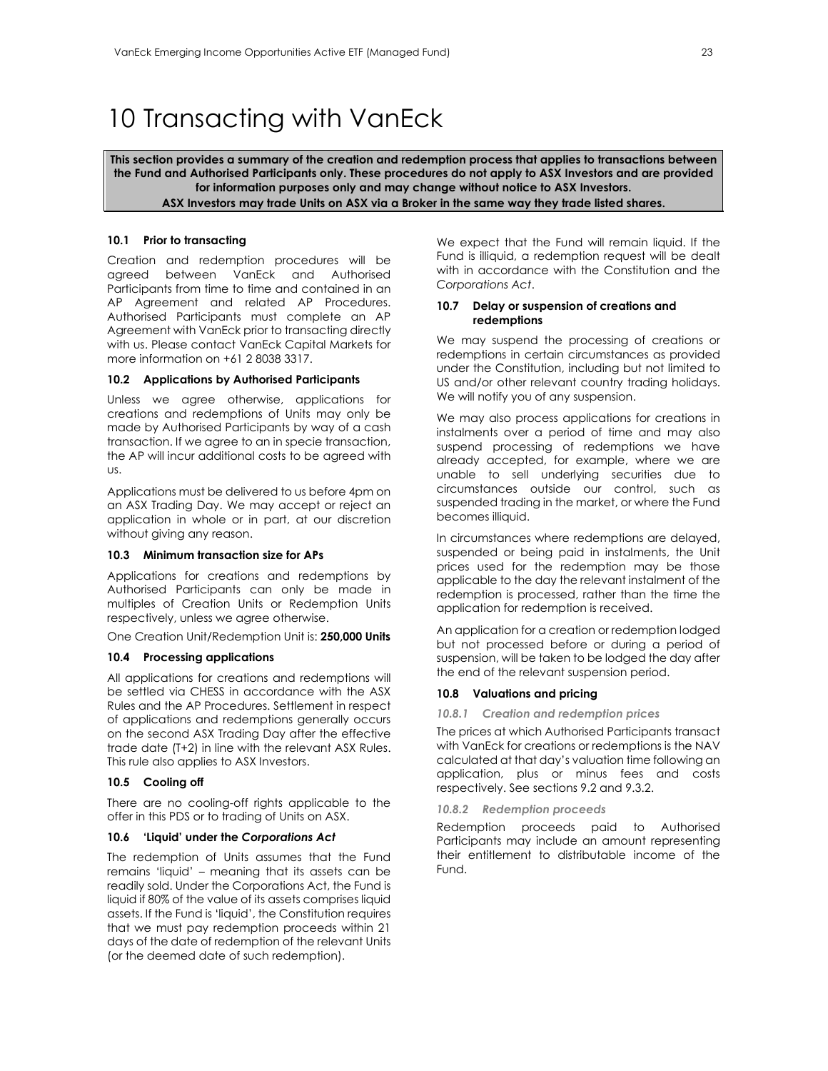# 10 Transacting with VanEck

**This section provides a summary of the creation and redemption process that applies to transactions between the Fund and Authorised Participants only. These procedures do not apply to ASX Investors and are provided for information purposes only and may change without notice to ASX Investors. ASX Investors may trade Units on ASX via a Broker in the same way they trade listed shares.**

#### **10.1 Prior to transacting**

Creation and redemption procedures will be agreed between VanEck and Authorised Participants from time to time and contained in an AP Agreement and related AP Procedures. Authorised Participants must complete an AP Agreement with VanEck prior to transacting directly with us. Please contact VanEck Capital Markets for more information on +61 2 8038 3317.

### **10.2 Applications by Authorised Participants**

Unless we agree otherwise, applications for creations and redemptions of Units may only be made by Authorised Participants by way of a cash transaction. If we agree to an in specie transaction, the AP will incur additional costs to be agreed with us.

Applications must be delivered to us before 4pm on an ASX Trading Day. We may accept or reject an application in whole or in part, at our discretion without giving any reason.

#### **10.3 Minimum transaction size for APs**

Applications for creations and redemptions by Authorised Participants can only be made in multiples of Creation Units or Redemption Units respectively, unless we agree otherwise.

One Creation Unit/Redemption Unit is: **250,000 Units** 

#### **10.4 Processing applications**

All applications for creations and redemptions will be settled via CHESS in accordance with the ASX Rules and the AP Procedures. Settlement in respect of applications and redemptions generally occurs on the second ASX Trading Day after the effective trade date (T+2) in line with the relevant ASX Rules. This rule also applies to ASX Investors.

#### **10.5 Cooling off**

There are no cooling-off rights applicable to the offer in this PDS or to trading of Units on ASX.

#### **10.6 'Liquid' under the** *Corporations Act*

The redemption of Units assumes that the Fund remains 'liquid' – meaning that its assets can be readily sold. Under the Corporations Act, the Fund is liquid if 80% of the value of its assets comprises liquid assets. If the Fund is 'liquid', the Constitution requires that we must pay redemption proceeds within 21 days of the date of redemption of the relevant Units (or the deemed date of such redemption).

We expect that the Fund will remain liquid. If the Fund is illiquid, a redemption request will be dealt with in accordance with the Constitution and the *Corporations Act*.

#### **10.7 Delay or suspension of creations and redemptions**

We may suspend the processing of creations or redemptions in certain circumstances as provided under the Constitution, including but not limited to US and/or other relevant country trading holidays. We will notify you of any suspension.

We may also process applications for creations in instalments over a period of time and may also suspend processing of redemptions we have already accepted, for example, where we are unable to sell underlying securities due to circumstances outside our control, such as suspended trading in the market, or where the Fund becomes illiquid.

In circumstances where redemptions are delayed, suspended or being paid in instalments, the Unit prices used for the redemption may be those applicable to the day the relevant instalment of the redemption is processed, rather than the time the application for redemption is received.

An application for a creation or redemption lodged but not processed before or during a period of suspension, will be taken to be lodged the day after the end of the relevant suspension period.

#### **10.8 Valuations and pricing**

#### *10.8.1 Creation and redemption prices*

The prices at which Authorised Participants transact with VanEck for creations or redemptions is the NAV calculated at that day's valuation time following an application, plus or minus fees and costs respectively. See sections 9.2 and 9.3.2.

*10.8.2 Redemption proceeds* 

Redemption proceeds paid to Authorised Participants may include an amount representing their entitlement to distributable income of the Fund.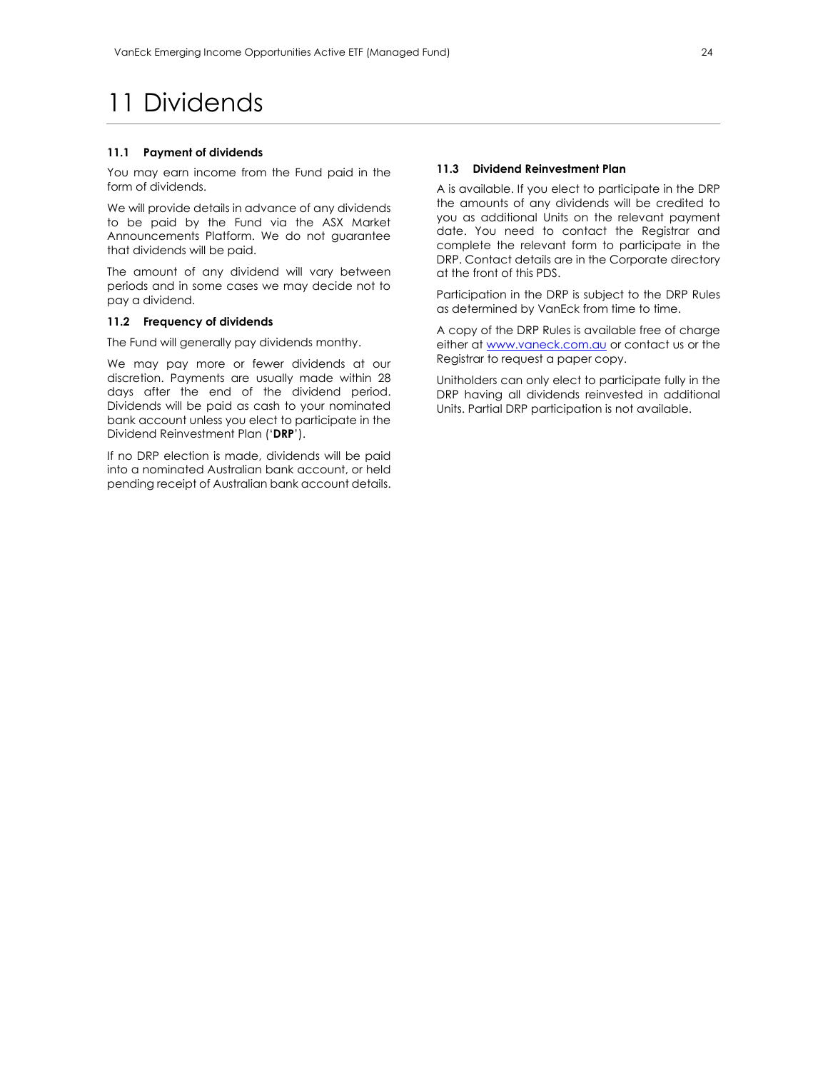# 11 Dividends

#### **11.1 Payment of dividends**

You may earn income from the Fund paid in the form of dividends.

We will provide details in advance of any dividends to be paid by the Fund via the ASX Market Announcements Platform. We do not guarantee that dividends will be paid.

The amount of any dividend will vary between periods and in some cases we may decide not to pay a dividend.

#### **11.2 Frequency of dividends**

The Fund will generally pay dividends monthy.

We may pay more or fewer dividends at our discretion. Payments are usually made within 28 days after the end of the dividend period. Dividends will be paid as cash to your nominated bank account unless you elect to participate in the Dividend Reinvestment Plan ('**DRP**').

If no DRP election is made, dividends will be paid into a nominated Australian bank account, or held pending receipt of Australian bank account details.

### **11.3 Dividend Reinvestment Plan**

A is available. If you elect to participate in the DRP the amounts of any dividends will be credited to you as additional Units on the relevant payment date. You need to contact the Registrar and complete the relevant form to participate in the DRP. Contact details are in the Corporate directory at the front of this PDS.

Participation in the DRP is subject to the DRP Rules as determined by VanEck from time to time.

A copy of the DRP Rules is available free of charge either at www.vaneck.com.au or contact us or the Registrar to request a paper copy.

Unitholders can only elect to participate fully in the DRP having all dividends reinvested in additional Units. Partial DRP participation is not available.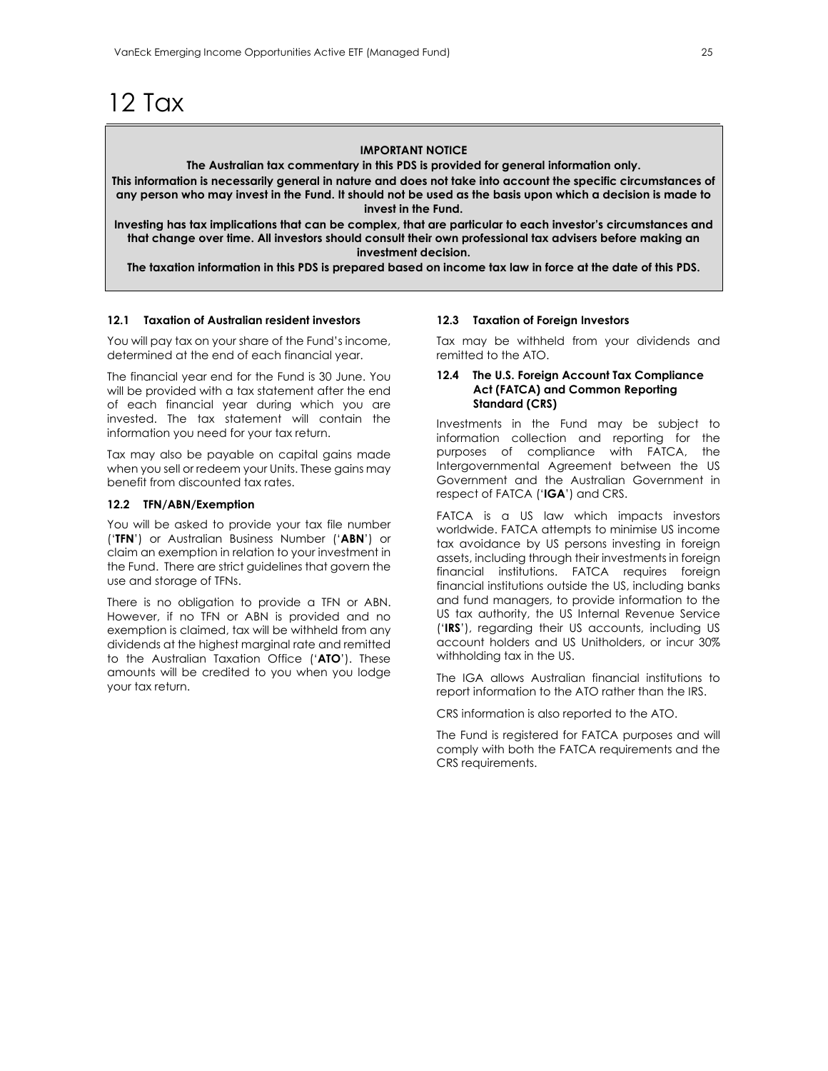# 12 Tax

# **IMPORTANT NOTICE**

**The Australian tax commentary in this PDS is provided for general information only.** 

**This information is necessarily general in nature and does not take into account the specific circumstances of any person who may invest in the Fund. It should not be used as the basis upon which a decision is made to invest in the Fund.** 

**Investing has tax implications that can be complex, that are particular to each investor's circumstances and that change over time. All investors should consult their own professional tax advisers before making an investment decision.** 

**The taxation information in this PDS is prepared based on income tax law in force at the date of this PDS.** 

### **12.1 Taxation of Australian resident investors**

You will pay tax on your share of the Fund's income, determined at the end of each financial year.

The financial year end for the Fund is 30 June. You will be provided with a tax statement after the end of each financial year during which you are invested. The tax statement will contain the information you need for your tax return.

Tax may also be payable on capital gains made when you sell or redeem your Units. These gains may benefit from discounted tax rates.

## **12.2 TFN/ABN/Exemption**

You will be asked to provide your tax file number ('**TFN**') or Australian Business Number ('**ABN**') or claim an exemption in relation to your investment in the Fund. There are strict guidelines that govern the use and storage of TFNs.

There is no obligation to provide a TFN or ABN. However, if no TFN or ABN is provided and no exemption is claimed, tax will be withheld from any dividends at the highest marginal rate and remitted to the Australian Taxation Office ('**ATO**'). These amounts will be credited to you when you lodge your tax return.

#### **12.3 Taxation of Foreign Investors**

Tax may be withheld from your dividends and remitted to the ATO.

#### **12.4 The U.S. Foreign Account Tax Compliance Act (FATCA) and Common Reporting Standard (CRS)**

Investments in the Fund may be subject to information collection and reporting for the purposes of compliance with FATCA, the Intergovernmental Agreement between the US Government and the Australian Government in respect of FATCA ('**IGA**') and CRS.

FATCA is a US law which impacts investors worldwide. FATCA attempts to minimise US income tax avoidance by US persons investing in foreign assets, including through their investments in foreign financial institutions. FATCA requires foreign financial institutions outside the US, including banks and fund managers, to provide information to the US tax authority, the US Internal Revenue Service ('**IRS**'), regarding their US accounts, including US account holders and US Unitholders, or incur 30% withholding tax in the US.

The IGA allows Australian financial institutions to report information to the ATO rather than the IRS.

CRS information is also reported to the ATO.

The Fund is registered for FATCA purposes and will comply with both the FATCA requirements and the CRS requirements.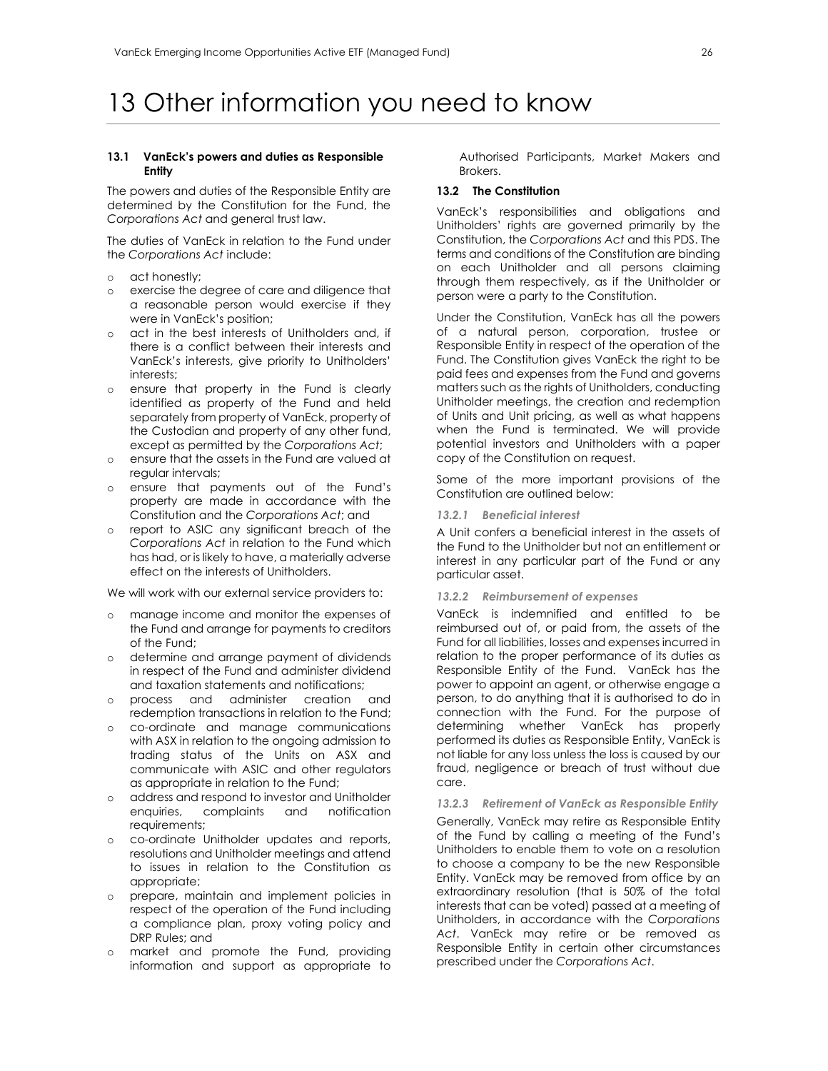# 13 Other information you need to know

#### **13.1 VanEck's powers and duties as Responsible Entity**

The powers and duties of the Responsible Entity are determined by the Constitution for the Fund, the *Corporations Act* and general trust law.

The duties of VanEck in relation to the Fund under the *Corporations Act* include:

- o act honestly;
- o exercise the degree of care and diligence that a reasonable person would exercise if they were in VanEck's position;
- o act in the best interests of Unitholders and, if there is a conflict between their interests and VanEck's interests, give priority to Unitholders' interests;
- o ensure that property in the Fund is clearly identified as property of the Fund and held separately from property of VanEck, property of the Custodian and property of any other fund, except as permitted by the *Corporations Act*;
- o ensure that the assets in the Fund are valued at regular intervals;
- o ensure that payments out of the Fund's property are made in accordance with the Constitution and the *Corporations Act*; and
- o report to ASIC any significant breach of the *Corporations Act* in relation to the Fund which has had, or is likely to have, a materially adverse effect on the interests of Unitholders.

We will work with our external service providers to:

- o manage income and monitor the expenses of the Fund and arrange for payments to creditors of the Fund;
- o determine and arrange payment of dividends in respect of the Fund and administer dividend and taxation statements and notifications;
- o process and administer creation and redemption transactions in relation to the Fund;
- o co-ordinate and manage communications with ASX in relation to the ongoing admission to trading status of the Units on ASX and communicate with ASIC and other regulators as appropriate in relation to the Fund;
- o address and respond to investor and Unitholder enquiries, complaints requirements;
- o co-ordinate Unitholder updates and reports, resolutions and Unitholder meetings and attend to issues in relation to the Constitution as appropriate;
- o prepare, maintain and implement policies in respect of the operation of the Fund including a compliance plan, proxy voting policy and DRP Rules; and
- market and promote the Fund, providing information and support as appropriate to

Authorised Participants, Market Makers and Brokers.

# **13.2 The Constitution**

VanEck's responsibilities and obligations and Unitholders' rights are governed primarily by the Constitution, the *Corporations Act* and this PDS. The terms and conditions of the Constitution are binding on each Unitholder and all persons claiming through them respectively, as if the Unitholder or person were a party to the Constitution.

Under the Constitution, VanEck has all the powers of a natural person, corporation, trustee or Responsible Entity in respect of the operation of the Fund. The Constitution gives VanEck the right to be paid fees and expenses from the Fund and governs matters such as the rights of Unitholders, conducting Unitholder meetings, the creation and redemption of Units and Unit pricing, as well as what happens when the Fund is terminated. We will provide potential investors and Unitholders with a paper copy of the Constitution on request.

Some of the more important provisions of the Constitution are outlined below:

#### *13.2.1 Beneficial interest*

A Unit confers a beneficial interest in the assets of the Fund to the Unitholder but not an entitlement or interest in any particular part of the Fund or any particular asset.

### *13.2.2 Reimbursement of expenses*

VanEck is indemnified and entitled to be reimbursed out of, or paid from, the assets of the Fund for all liabilities, losses and expenses incurred in relation to the proper performance of its duties as Responsible Entity of the Fund. VanEck has the power to appoint an agent, or otherwise engage a person, to do anything that it is authorised to do in connection with the Fund. For the purpose of determining whether VanEck has properly performed its duties as Responsible Entity, VanEck is not liable for any loss unless the loss is caused by our fraud, negligence or breach of trust without due care.

# *13.2.3 Retirement of VanEck as Responsible Entity*

Generally, VanEck may retire as Responsible Entity of the Fund by calling a meeting of the Fund's Unitholders to enable them to vote on a resolution to choose a company to be the new Responsible Entity. VanEck may be removed from office by an extraordinary resolution (that is 50% of the total interests that can be voted) passed at a meeting of Unitholders, in accordance with the *Corporations Act*. VanEck may retire or be removed as Responsible Entity in certain other circumstances prescribed under the *Corporations Act*.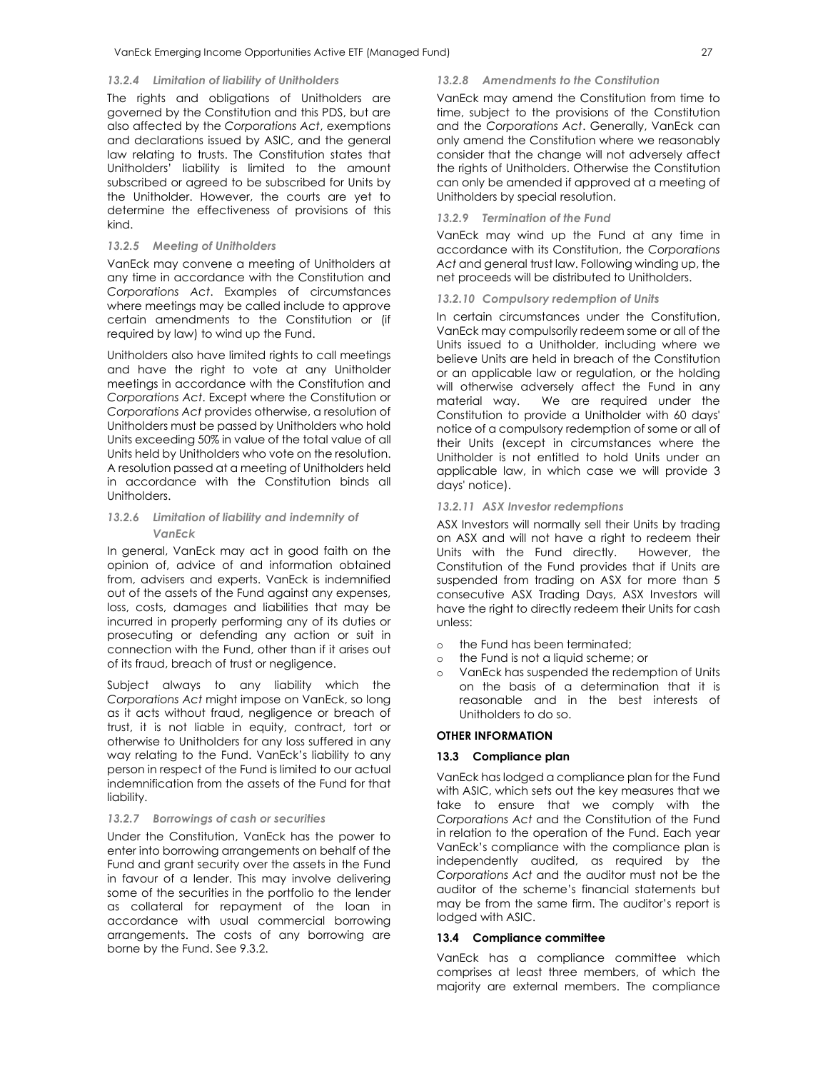#### *13.2.4 Limitation of liability of Unitholders*

The rights and obligations of Unitholders are governed by the Constitution and this PDS, but are also affected by the *Corporations Act*, exemptions and declarations issued by ASIC, and the general law relating to trusts. The Constitution states that Unitholders' liability is limited to the amount subscribed or agreed to be subscribed for Units by the Unitholder. However, the courts are yet to determine the effectiveness of provisions of this kind.

# *13.2.5 Meeting of Unitholders*

VanEck may convene a meeting of Unitholders at any time in accordance with the Constitution and *Corporations Act*. Examples of circumstances where meetings may be called include to approve certain amendments to the Constitution or (if required by law) to wind up the Fund.

Unitholders also have limited rights to call meetings and have the right to vote at any Unitholder meetings in accordance with the Constitution and *Corporations Act*. Except where the Constitution or *Corporations Act* provides otherwise, a resolution of Unitholders must be passed by Unitholders who hold Units exceeding 50% in value of the total value of all Units held by Unitholders who vote on the resolution. A resolution passed at a meeting of Unitholders held in accordance with the Constitution binds all Unitholders.

# *13.2.6 Limitation of liability and indemnity of VanEck*

In general, VanEck may act in good faith on the opinion of, advice of and information obtained from, advisers and experts. VanEck is indemnified out of the assets of the Fund against any expenses, loss, costs, damages and liabilities that may be incurred in properly performing any of its duties or prosecuting or defending any action or suit in connection with the Fund, other than if it arises out of its fraud, breach of trust or negligence.

Subject always to any liability which the *Corporations Act* might impose on VanEck, so long as it acts without fraud, negligence or breach of trust, it is not liable in equity, contract, tort or otherwise to Unitholders for any loss suffered in any way relating to the Fund. VanEck's liability to any person in respect of the Fund is limited to our actual indemnification from the assets of the Fund for that liability.

## *13.2.7 Borrowings of cash or securities*

Under the Constitution, VanEck has the power to enter into borrowing arrangements on behalf of the Fund and grant security over the assets in the Fund in favour of a lender. This may involve delivering some of the securities in the portfolio to the lender as collateral for repayment of the loan in accordance with usual commercial borrowing arrangements. The costs of any borrowing are borne by the Fund. See 9.3.2.

## *13.2.8 Amendments to the Constitution*

VanEck may amend the Constitution from time to time, subject to the provisions of the Constitution and the *Corporations Act*. Generally, VanEck can only amend the Constitution where we reasonably consider that the change will not adversely affect the rights of Unitholders. Otherwise the Constitution can only be amended if approved at a meeting of Unitholders by special resolution.

# *13.2.9 Termination of the Fund*

VanEck may wind up the Fund at any time in accordance with its Constitution, the *Corporations Act* and general trust law. Following winding up, the net proceeds will be distributed to Unitholders.

#### *13.2.10 Compulsory redemption of Units*

In certain circumstances under the Constitution, VanEck may compulsorily redeem some or all of the Units issued to a Unitholder, including where we believe Units are held in breach of the Constitution or an applicable law or regulation, or the holding will otherwise adversely affect the Fund in any material way. We are required under the Constitution to provide a Unitholder with 60 days' notice of a compulsory redemption of some or all of their Units (except in circumstances where the Unitholder is not entitled to hold Units under an applicable law, in which case we will provide 3 days' notice).

#### *13.2.11 ASX Investor redemptions*

ASX Investors will normally sell their Units by trading on ASX and will not have a right to redeem their Units with the Fund directly. However, the Constitution of the Fund provides that if Units are suspended from trading on ASX for more than 5 consecutive ASX Trading Days, ASX Investors will have the right to directly redeem their Units for cash unless:

- o the Fund has been terminated;
- o the Fund is not a liquid scheme; or
- o VanEck has suspended the redemption of Units on the basis of a determination that it is reasonable and in the best interests of Unitholders to do so.

#### **OTHER INFORMATION**

#### **13.3 Compliance plan**

VanEck has lodged a compliance plan for the Fund with ASIC, which sets out the key measures that we take to ensure that we comply with the *Corporations Act* and the Constitution of the Fund in relation to the operation of the Fund. Each year VanEck's compliance with the compliance plan is independently audited, as required by the *Corporations Act* and the auditor must not be the auditor of the scheme's financial statements but may be from the same firm. The auditor's report is lodged with ASIC.

## **13.4 Compliance committee**

VanEck has a compliance committee which comprises at least three members, of which the majority are external members. The compliance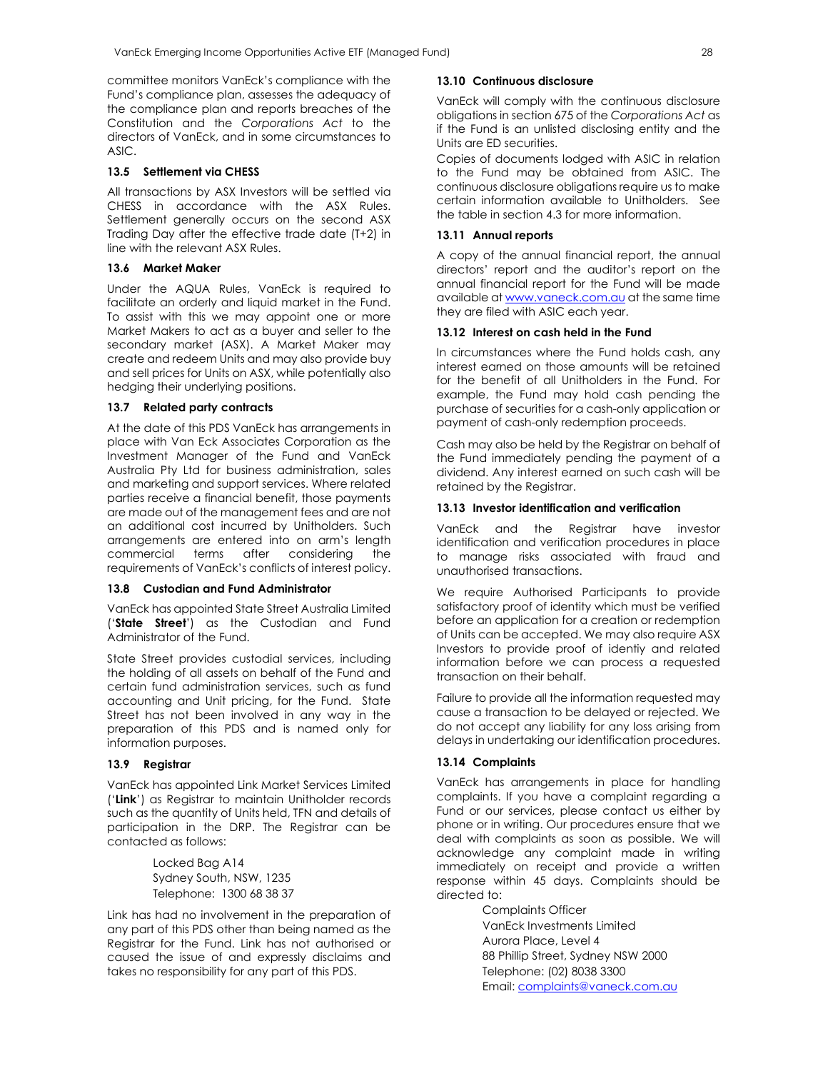committee monitors VanEck's compliance with the Fund's compliance plan, assesses the adequacy of the compliance plan and reports breaches of the Constitution and the *Corporations Act* to the directors of VanEck, and in some circumstances to ASIC.

#### **13.5 Settlement via CHESS**

All transactions by ASX Investors will be settled via CHESS in accordance with the ASX Rules. Settlement generally occurs on the second ASX Trading Day after the effective trade date (T+2) in line with the relevant ASX Rules.

## **13.6 Market Maker**

Under the AQUA Rules, VanEck is required to facilitate an orderly and liquid market in the Fund. To assist with this we may appoint one or more Market Makers to act as a buyer and seller to the secondary market (ASX). A Market Maker may create and redeem Units and may also provide buy and sell prices for Units on ASX, while potentially also hedging their underlying positions.

### **13.7 Related party contracts**

At the date of this PDS VanEck has arrangements in place with Van Eck Associates Corporation as the Investment Manager of the Fund and VanEck Australia Pty Ltd for business administration, sales and marketing and support services. Where related parties receive a financial benefit, those payments are made out of the management fees and are not an additional cost incurred by Unitholders. Such arrangements are entered into on arm's length commercial terms after considering the requirements of VanEck's conflicts of interest policy.

#### **13.8 Custodian and Fund Administrator**

VanEck has appointed State Street Australia Limited ('**State Street**') as the Custodian and Fund Administrator of the Fund.

State Street provides custodial services, including the holding of all assets on behalf of the Fund and certain fund administration services, such as fund accounting and Unit pricing, for the Fund. State Street has not been involved in any way in the preparation of this PDS and is named only for information purposes.

### **13.9 Registrar**

VanEck has appointed Link Market Services Limited ('**Link**') as Registrar to maintain Unitholder records such as the quantity of Units held, TFN and details of participation in the DRP. The Registrar can be contacted as follows:

> Locked Bag A14 Sydney South, NSW, 1235 Telephone: 1300 68 38 37

Link has had no involvement in the preparation of any part of this PDS other than being named as the Registrar for the Fund. Link has not authorised or caused the issue of and expressly disclaims and takes no responsibility for any part of this PDS.

#### **13.10 Continuous disclosure**

VanEck will comply with the continuous disclosure obligations in section 675 of the *Corporations Act* as if the Fund is an unlisted disclosing entity and the Units are ED securities.

Copies of documents lodged with ASIC in relation to the Fund may be obtained from ASIC. The continuous disclosure obligations require us to make certain information available to Unitholders. See the table in section 4.3 for more information.

#### **13.11 Annual reports**

A copy of the annual financial report, the annual directors' report and the auditor's report on the annual financial report for the Fund will be made available at www.vaneck.com.au at the same time they are filed with ASIC each year.

#### **13.12 Interest on cash held in the Fund**

In circumstances where the Fund holds cash, any interest earned on those amounts will be retained for the benefit of all Unitholders in the Fund. For example, the Fund may hold cash pending the purchase of securities for a cash-only application or payment of cash-only redemption proceeds.

Cash may also be held by the Registrar on behalf of the Fund immediately pending the payment of a dividend. Any interest earned on such cash will be retained by the Registrar.

#### **13.13 Investor identification and verification**

VanEck and the Registrar have investor identification and verification procedures in place to manage risks associated with fraud and unauthorised transactions.

We require Authorised Participants to provide satisfactory proof of identity which must be verified before an application for a creation or redemption of Units can be accepted. We may also require ASX Investors to provide proof of identiy and related information before we can process a requested transaction on their behalf.

Failure to provide all the information requested may cause a transaction to be delayed or rejected. We do not accept any liability for any loss arising from delays in undertaking our identification procedures.

#### **13.14 Complaints**

VanEck has arrangements in place for handling complaints. If you have a complaint regarding a Fund or our services, please contact us either by phone or in writing. Our procedures ensure that we deal with complaints as soon as possible. We will acknowledge any complaint made in writing immediately on receipt and provide a written response within 45 days. Complaints should be directed to:

> Complaints Officer VanEck Investments Limited Aurora Place, Level 4 88 Phillip Street, Sydney NSW 2000 Telephone: (02) 8038 3300 Email: complaints@vaneck.com.au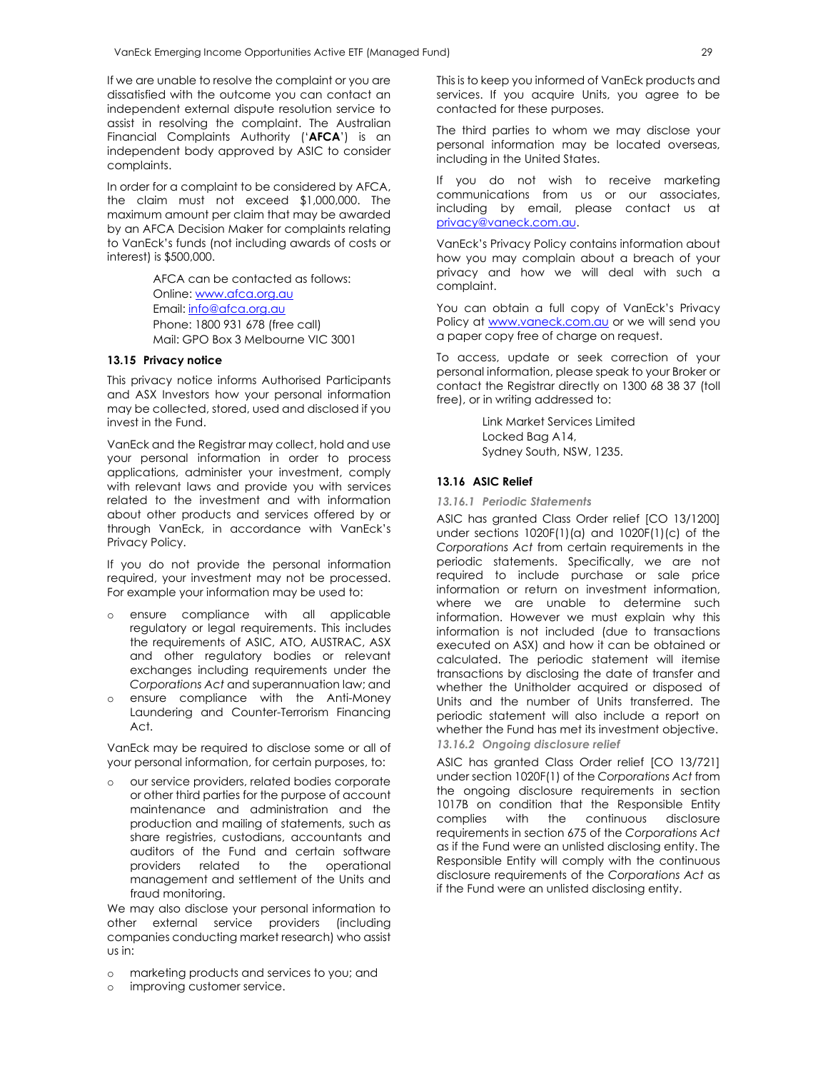If we are unable to resolve the complaint or you are dissatisfied with the outcome you can contact an independent external dispute resolution service to assist in resolving the complaint. The Australian Financial Complaints Authority ('**AFCA**') is an independent body approved by ASIC to consider complaints.

In order for a complaint to be considered by AFCA, the claim must not exceed \$1,000,000. The maximum amount per claim that may be awarded by an AFCA Decision Maker for complaints relating to VanEck's funds (not including awards of costs or interest) is \$500,000.

> AFCA can be contacted as follows: Online: www.afca.org.au Email: info@afca.org.au Phone: 1800 931 678 (free call) Mail: GPO Box 3 Melbourne VIC 3001

#### **13.15 Privacy notice**

This privacy notice informs Authorised Participants and ASX Investors how your personal information may be collected, stored, used and disclosed if you invest in the Fund.

VanEck and the Registrar may collect, hold and use your personal information in order to process applications, administer your investment, comply with relevant laws and provide you with services related to the investment and with information about other products and services offered by or through VanEck, in accordance with VanEck's Privacy Policy.

If you do not provide the personal information required, your investment may not be processed. For example your information may be used to:

- o ensure compliance with all applicable regulatory or legal requirements. This includes the requirements of ASIC, ATO, AUSTRAC, ASX and other regulatory bodies or relevant exchanges including requirements under the *Corporations Act* and superannuation law; and
- o ensure compliance with the Anti-Money Laundering and Counter-Terrorism Financing Act.

VanEck may be required to disclose some or all of your personal information, for certain purposes, to:

o our service providers, related bodies corporate or other third parties for the purpose of account maintenance and administration and the production and mailing of statements, such as share registries, custodians, accountants and auditors of the Fund and certain software providers related to the operational management and settlement of the Units and fraud monitoring.

We may also disclose your personal information to other external service providers (including companies conducting market research) who assist us in:

- o marketing products and services to you; and
- o improving customer service.

This is to keep you informed of VanEck products and services. If you acquire Units, you agree to be contacted for these purposes.

The third parties to whom we may disclose your personal information may be located overseas, including in the United States.

If you do not wish to receive marketing communications from us or our associates, including by email, please contact us at privacy@vaneck.com.au.

VanEck's Privacy Policy contains information about how you may complain about a breach of your privacy and how we will deal with such a complaint.

You can obtain a full copy of VanEck's Privacy Policy at www.vaneck.com.au or we will send you a paper copy free of charge on request.

To access, update or seek correction of your personal information, please speak to your Broker or contact the Registrar directly on 1300 68 38 37 (toll free), or in writing addressed to:

> Link Market Services Limited Locked Bag A14, Sydney South, NSW, 1235.

### **13.16 ASIC Relief**

#### *13.16.1 Periodic Statements*

ASIC has granted Class Order relief [CO 13/1200] under sections 1020F(1)(a) and 1020F(1)(c) of the *Corporations Act* from certain requirements in the periodic statements. Specifically, we are not required to include purchase or sale price information or return on investment information, where we are unable to determine such information. However we must explain why this information is not included (due to transactions executed on ASX) and how it can be obtained or calculated. The periodic statement will itemise transactions by disclosing the date of transfer and whether the Unitholder acquired or disposed of Units and the number of Units transferred. The periodic statement will also include a report on whether the Fund has met its investment objective. *13.16.2 Ongoing disclosure relief* 

ASIC has granted Class Order relief [CO 13/721] under section 1020F(1) of the *Corporations Act* from the ongoing disclosure requirements in section 1017B on condition that the Responsible Entity complies with the continuous disclosure requirements in section 675 of the *Corporations Act* as if the Fund were an unlisted disclosing entity. The Responsible Entity will comply with the continuous disclosure requirements of the *Corporations Act* as if the Fund were an unlisted disclosing entity.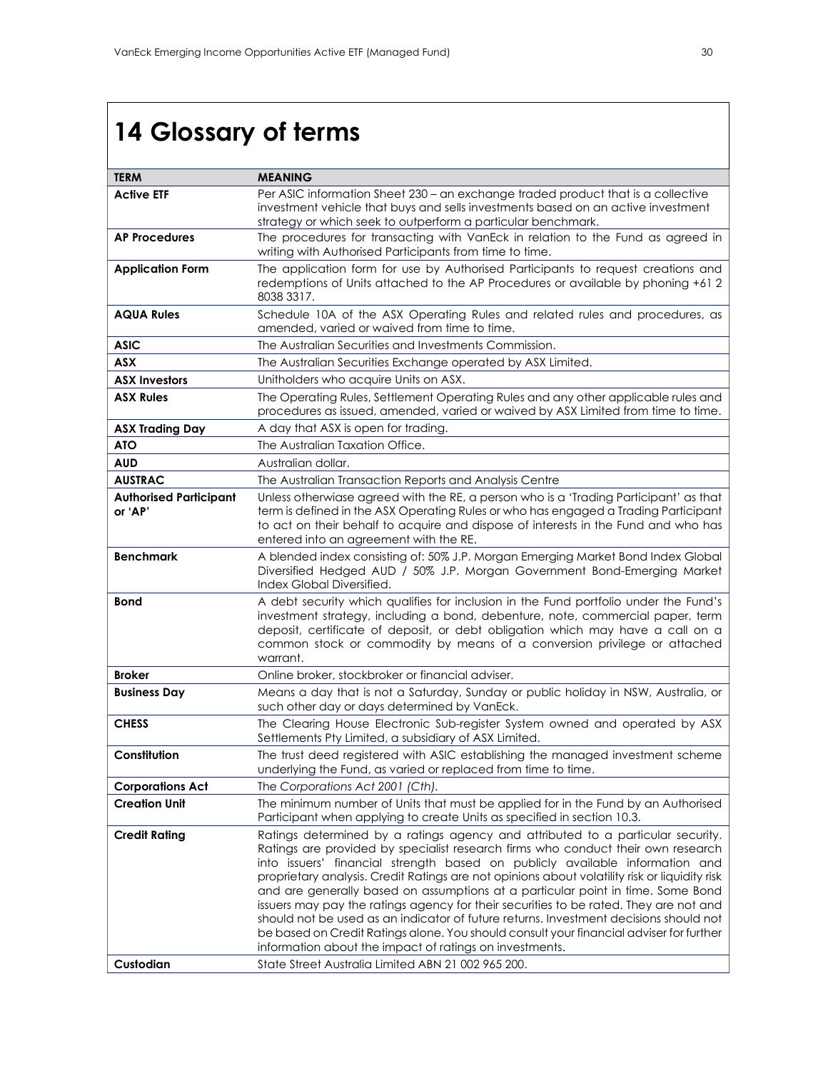# **14 Glossary of terms**

| <b>TERM</b>                              | <b>MEANING</b>                                                                                                                                                                                                                                                                                                                                                                                                                                                                                                                                                                                                                                                                                                                                                                  |
|------------------------------------------|---------------------------------------------------------------------------------------------------------------------------------------------------------------------------------------------------------------------------------------------------------------------------------------------------------------------------------------------------------------------------------------------------------------------------------------------------------------------------------------------------------------------------------------------------------------------------------------------------------------------------------------------------------------------------------------------------------------------------------------------------------------------------------|
| <b>Active ETF</b>                        | Per ASIC information Sheet 230 - an exchange traded product that is a collective<br>investment vehicle that buys and sells investments based on an active investment                                                                                                                                                                                                                                                                                                                                                                                                                                                                                                                                                                                                            |
| <b>AP Procedures</b>                     | strategy or which seek to outperform a particular benchmark.<br>The procedures for transacting with VanEck in relation to the Fund as agreed in                                                                                                                                                                                                                                                                                                                                                                                                                                                                                                                                                                                                                                 |
|                                          | writing with Authorised Participants from time to time.                                                                                                                                                                                                                                                                                                                                                                                                                                                                                                                                                                                                                                                                                                                         |
| <b>Application Form</b>                  | The application form for use by Authorised Participants to request creations and<br>redemptions of Units attached to the AP Procedures or available by phoning +61 2<br>8038 3317.                                                                                                                                                                                                                                                                                                                                                                                                                                                                                                                                                                                              |
| <b>AQUA Rules</b>                        | Schedule 10A of the ASX Operating Rules and related rules and procedures, as<br>amended, varied or waived from time to time.                                                                                                                                                                                                                                                                                                                                                                                                                                                                                                                                                                                                                                                    |
| <b>ASIC</b>                              | The Australian Securities and Investments Commission.                                                                                                                                                                                                                                                                                                                                                                                                                                                                                                                                                                                                                                                                                                                           |
| <b>ASX</b>                               | The Australian Securities Exchange operated by ASX Limited.                                                                                                                                                                                                                                                                                                                                                                                                                                                                                                                                                                                                                                                                                                                     |
| <b>ASX Investors</b>                     | Unitholders who acquire Units on ASX.                                                                                                                                                                                                                                                                                                                                                                                                                                                                                                                                                                                                                                                                                                                                           |
| <b>ASX Rules</b>                         | The Operating Rules, Settlement Operating Rules and any other applicable rules and<br>procedures as issued, amended, varied or waived by ASX Limited from time to time.                                                                                                                                                                                                                                                                                                                                                                                                                                                                                                                                                                                                         |
| <b>ASX Trading Day</b>                   | A day that ASX is open for trading.                                                                                                                                                                                                                                                                                                                                                                                                                                                                                                                                                                                                                                                                                                                                             |
| <b>ATO</b>                               | The Australian Taxation Office.                                                                                                                                                                                                                                                                                                                                                                                                                                                                                                                                                                                                                                                                                                                                                 |
| <b>AUD</b>                               | Australian dollar.                                                                                                                                                                                                                                                                                                                                                                                                                                                                                                                                                                                                                                                                                                                                                              |
| <b>AUSTRAC</b>                           | The Australian Transaction Reports and Analysis Centre                                                                                                                                                                                                                                                                                                                                                                                                                                                                                                                                                                                                                                                                                                                          |
| <b>Authorised Participant</b><br>or 'AP' | Unless otherwigse agreed with the RE, a person who is a 'Trading Participant' as that<br>term is defined in the ASX Operating Rules or who has engaged a Trading Participant<br>to act on their behalf to acquire and dispose of interests in the Fund and who has<br>entered into an agreement with the RE.                                                                                                                                                                                                                                                                                                                                                                                                                                                                    |
| <b>Benchmark</b>                         | A blended index consisting of: 50% J.P. Morgan Emerging Market Bond Index Global<br>Diversified Hedged AUD / 50% J.P. Morgan Government Bond-Emerging Market<br>Index Global Diversified.                                                                                                                                                                                                                                                                                                                                                                                                                                                                                                                                                                                       |
| <b>Bond</b>                              | A debt security which qualifies for inclusion in the Fund portfolio under the Fund's<br>investment strategy, including a bond, debenture, note, commercial paper, term<br>deposit, certificate of deposit, or debt obligation which may have a call on a<br>common stock or commodity by means of a conversion privilege or attached<br>warrant.                                                                                                                                                                                                                                                                                                                                                                                                                                |
| <b>Broker</b>                            | Online broker, stockbroker or financial adviser.                                                                                                                                                                                                                                                                                                                                                                                                                                                                                                                                                                                                                                                                                                                                |
| <b>Business Day</b>                      | Means a day that is not a Saturday, Sunday or public holiday in NSW, Australia, or<br>such other day or days determined by VanEck.                                                                                                                                                                                                                                                                                                                                                                                                                                                                                                                                                                                                                                              |
| <b>CHESS</b>                             | The Clearing House Electronic Sub-register System owned and operated by ASX<br>Settlements Pty Limited, a subsidiary of ASX Limited.                                                                                                                                                                                                                                                                                                                                                                                                                                                                                                                                                                                                                                            |
| Constitution                             | The trust deed registered with ASIC establishing the managed investment scheme<br>underlying the Fund, as varied or replaced from time to time.                                                                                                                                                                                                                                                                                                                                                                                                                                                                                                                                                                                                                                 |
| <b>Corporations Act</b>                  | The Corporations Act 2001 (Cth).                                                                                                                                                                                                                                                                                                                                                                                                                                                                                                                                                                                                                                                                                                                                                |
| <b>Creation Unit</b>                     | The minimum number of Units that must be applied for in the Fund by an Authorised<br>Participant when applying to create Units as specified in section 10.3.                                                                                                                                                                                                                                                                                                                                                                                                                                                                                                                                                                                                                    |
| <b>Credit Rating</b>                     | Ratings determined by a ratings agency and attributed to a particular security.<br>Ratings are provided by specialist research firms who conduct their own research<br>into issuers' financial strength based on publicly available information and<br>proprietary analysis. Credit Ratings are not opinions about volatility risk or liquidity risk<br>and are generally based on assumptions at a particular point in time. Some Bond<br>issuers may pay the ratings agency for their securities to be rated. They are not and<br>should not be used as an indicator of future returns. Investment decisions should not<br>be based on Credit Ratings alone. You should consult your financial adviser for further<br>information about the impact of ratings on investments. |
| Custodian                                | State Street Australia Limited ABN 21 002 965 200.                                                                                                                                                                                                                                                                                                                                                                                                                                                                                                                                                                                                                                                                                                                              |